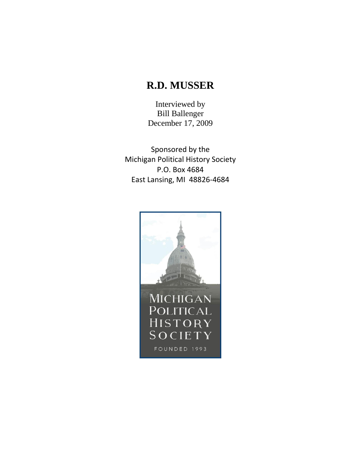## **R.D. MUSSER**

Interviewed by Bill Ballenger December 17, 2009

Sponsored by the Michigan Political History Society P.O. Box 4684 East Lansing, MI 48826-4684

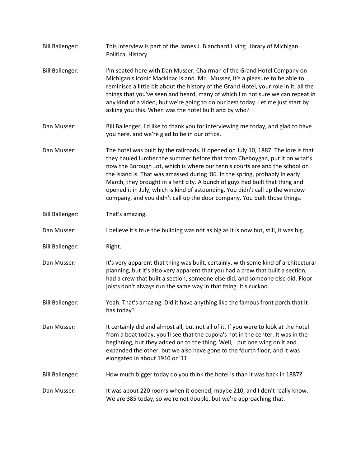Bill Ballenger: This interview is part of the James J. Blanchard Living Library of Michigan Political History. Bill Ballenger: I'm seated here with Dan Musser, Chairman of the Grand Hotel Company on Michigan's iconic Mackinac Island. Mr.. Musser, it's a pleasure to be able to reminisce a little bit about the history of the Grand Hotel, your role in it, all the things that you've seen and heard, many of which I'm not sure we can repeat in any kind of a video, but we're going to do our best today. Let me just start by asking you this. When was the hotel built and by who? Dan Musser: Bill Ballenger, I'd like to thank you for interviewing me today, and glad to have you here, and we're glad to be in our office. Dan Musser: The hotel was built by the railroads. It opened on July 10, 1887. The lore is that they hauled lumber the summer before that from Cheboygan, put it on what's now the Borough Lot, which is where our tennis courts are and the school on the island is. That was amassed during '86. In the spring, probably in early March, they brought in a tent city. A bunch of guys had built that thing and opened it in July, which is kind of astounding. You didn't call up the window company, and you didn't call up the door company. You built those things. Bill Ballenger: That's amazing. Dan Musser: I believe it's true the building was not as big as it is now but, still, it was big. Bill Ballenger: Right. Dan Musser: It's very apparent that thing was built, certainly, with some kind of architectural planning, but it's also very apparent that you had a crew that built a section, I had a crew that built a section, someone else did, and someone else did. Floor joists don't always run the same way in that thing. It's cuckoo. Bill Ballenger: Yeah. That's amazing. Did it have anything like the famous front porch that it has today? Dan Musser: It certainly did and almost all, but not all of it. If you were to look at the hotel from a boat today, you'll see that the cupola's not in the center. It was in the beginning, but they added on to the thing. Well, I put one wing on it and expanded the other, but we also have gone to the fourth floor, and it was elongated in about 1910 or '11. Bill Ballenger: How much bigger today do you think the hotel is than it was back in 1887? Dan Musser: It was about 220 rooms when it opened, maybe 210, and I don't really know. We are 385 today, so we're not double, but we're approaching that.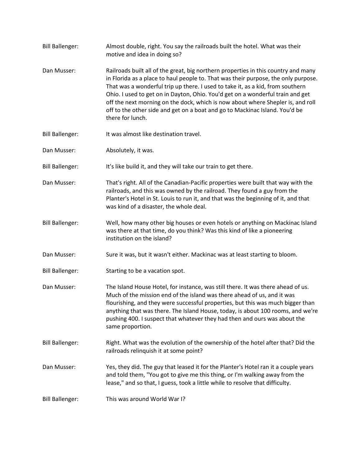Bill Ballenger: Almost double, right. You say the railroads built the hotel. What was their motive and idea in doing so? Dan Musser: Railroads built all of the great, big northern properties in this country and many in Florida as a place to haul people to. That was their purpose, the only purpose. That was a wonderful trip up there. I used to take it, as a kid, from southern Ohio. I used to get on in Dayton, Ohio. You'd get on a wonderful train and get off the next morning on the dock, which is now about where Shepler is, and roll off to the other side and get on a boat and go to Mackinac Island. You'd be there for lunch. Bill Ballenger: It was almost like destination travel. Dan Musser: Absolutely, it was. Bill Ballenger: It's like build it, and they will take our train to get there. Dan Musser: That's right. All of the Canadian-Pacific properties were built that way with the railroads, and this was owned by the railroad. They found a guy from the Planter's Hotel in St. Louis to run it, and that was the beginning of it, and that was kind of a disaster, the whole deal. Bill Ballenger: Well, how many other big houses or even hotels or anything on Mackinac Island was there at that time, do you think? Was this kind of like a pioneering institution on the island? Dan Musser: Sure it was, but it wasn't either. Mackinac was at least starting to bloom. Bill Ballenger: Starting to be a vacation spot. Dan Musser: The Island House Hotel, for instance, was still there. It was there ahead of us. Much of the mission end of the island was there ahead of us, and it was flourishing, and they were successful properties, but this was much bigger than anything that was there. The Island House, today, is about 100 rooms, and we're pushing 400. I suspect that whatever they had then and ours was about the same proportion. Bill Ballenger: Right. What was the evolution of the ownership of the hotel after that? Did the railroads relinquish it at some point? Dan Musser: Yes, they did. The guy that leased it for the Planter's Hotel ran it a couple years and told them, "You got to give me this thing, or I'm walking away from the lease," and so that, I guess, took a little while to resolve that difficulty. Bill Ballenger: This was around World War I?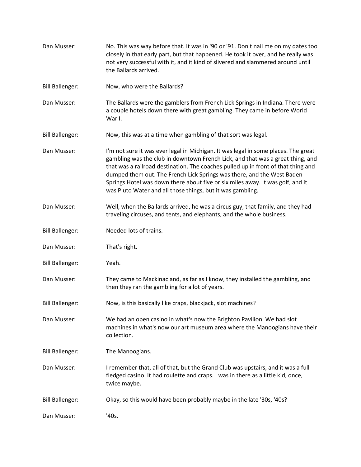Dan Musser: No. This was way before that. It was in '90 or '91. Don't nail me on my dates too closely in that early part, but that happened. He took it over, and he really was not very successful with it, and it kind of slivered and slammered around until the Ballards arrived. Bill Ballenger: Now, who were the Ballards? Dan Musser: The Ballards were the gamblers from French Lick Springs in Indiana. There were a couple hotels down there with great gambling. They came in before World War I. Bill Ballenger: Now, this was at a time when gambling of that sort was legal. Dan Musser: I'm not sure it was ever legal in Michigan. It was legal in some places. The great gambling was the club in downtown French Lick, and that was a great thing, and that was a railroad destination. The coaches pulled up in front of that thing and dumped them out. The French Lick Springs was there, and the West Baden Springs Hotel was down there about five or six miles away. It was golf, and it was Pluto Water and all those things, but it was gambling. Dan Musser: Well, when the Ballards arrived, he was a circus guy, that family, and they had traveling circuses, and tents, and elephants, and the whole business. Bill Ballenger: Needed lots of trains. Dan Musser: That's right. Bill Ballenger: Yeah. Dan Musser: They came to Mackinac and, as far as I know, they installed the gambling, and then they ran the gambling for a lot of years. Bill Ballenger: Now, is this basically like craps, blackjack, slot machines? Dan Musser: We had an open casino in what's now the Brighton Pavilion. We had slot machines in what's now our art museum area where the Manoogians have their collection. Bill Ballenger: The Manoogians. Dan Musser: I remember that, all of that, but the Grand Club was upstairs, and it was a fullfledged casino. It had roulette and craps. I was in there as a little kid, once, twice maybe. Bill Ballenger: Okay, so this would have been probably maybe in the late '30s, '40s? Dan Musser: '40s.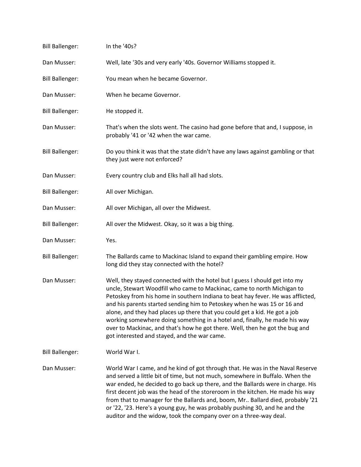| <b>Bill Ballenger:</b> | In the '40s?                                                                                                                                                                                                                                                                                                                                                                                                                                                                                                                                                                                                      |
|------------------------|-------------------------------------------------------------------------------------------------------------------------------------------------------------------------------------------------------------------------------------------------------------------------------------------------------------------------------------------------------------------------------------------------------------------------------------------------------------------------------------------------------------------------------------------------------------------------------------------------------------------|
| Dan Musser:            | Well, late '30s and very early '40s. Governor Williams stopped it.                                                                                                                                                                                                                                                                                                                                                                                                                                                                                                                                                |
| <b>Bill Ballenger:</b> | You mean when he became Governor.                                                                                                                                                                                                                                                                                                                                                                                                                                                                                                                                                                                 |
| Dan Musser:            | When he became Governor.                                                                                                                                                                                                                                                                                                                                                                                                                                                                                                                                                                                          |
| <b>Bill Ballenger:</b> | He stopped it.                                                                                                                                                                                                                                                                                                                                                                                                                                                                                                                                                                                                    |
| Dan Musser:            | That's when the slots went. The casino had gone before that and, I suppose, in<br>probably '41 or '42 when the war came.                                                                                                                                                                                                                                                                                                                                                                                                                                                                                          |
| <b>Bill Ballenger:</b> | Do you think it was that the state didn't have any laws against gambling or that<br>they just were not enforced?                                                                                                                                                                                                                                                                                                                                                                                                                                                                                                  |
| Dan Musser:            | Every country club and Elks hall all had slots.                                                                                                                                                                                                                                                                                                                                                                                                                                                                                                                                                                   |
| <b>Bill Ballenger:</b> | All over Michigan.                                                                                                                                                                                                                                                                                                                                                                                                                                                                                                                                                                                                |
| Dan Musser:            | All over Michigan, all over the Midwest.                                                                                                                                                                                                                                                                                                                                                                                                                                                                                                                                                                          |
| <b>Bill Ballenger:</b> | All over the Midwest. Okay, so it was a big thing.                                                                                                                                                                                                                                                                                                                                                                                                                                                                                                                                                                |
| Dan Musser:            | Yes.                                                                                                                                                                                                                                                                                                                                                                                                                                                                                                                                                                                                              |
| <b>Bill Ballenger:</b> | The Ballards came to Mackinac Island to expand their gambling empire. How<br>long did they stay connected with the hotel?                                                                                                                                                                                                                                                                                                                                                                                                                                                                                         |
| Dan Musser:            | Well, they stayed connected with the hotel but I guess I should get into my<br>uncle, Stewart Woodfill who came to Mackinac, came to north Michigan to<br>Petoskey from his home in southern Indiana to beat hay fever. He was afflicted,<br>and his parents started sending him to Petoskey when he was 15 or 16 and<br>alone, and they had places up there that you could get a kid. He got a job<br>working somewhere doing something in a hotel and, finally, he made his way<br>over to Mackinac, and that's how he got there. Well, then he got the bug and<br>got interested and stayed, and the war came. |
| <b>Bill Ballenger:</b> | World War I.                                                                                                                                                                                                                                                                                                                                                                                                                                                                                                                                                                                                      |
| Dan Musser:            | World War I came, and he kind of got through that. He was in the Naval Reserve<br>and served a little bit of time, but not much, somewhere in Buffalo. When the<br>war ended, he decided to go back up there, and the Ballards were in charge. His<br>first decent job was the head of the storeroom in the kitchen. He made his way<br>from that to manager for the Ballards and, boom, Mr Ballard died, probably '21<br>or '22, '23. Here's a young guy, he was probably pushing 30, and he and the<br>auditor and the widow, took the company over on a three-way deal.                                        |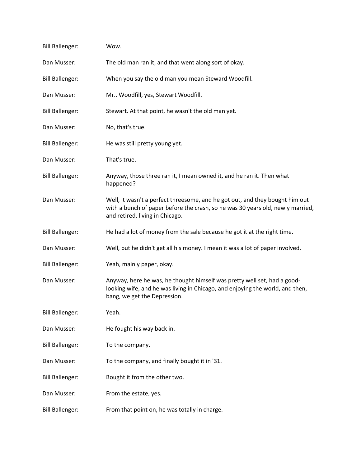| <b>Bill Ballenger:</b> | Wow.                                                                                                                                                                                              |
|------------------------|---------------------------------------------------------------------------------------------------------------------------------------------------------------------------------------------------|
| Dan Musser:            | The old man ran it, and that went along sort of okay.                                                                                                                                             |
| <b>Bill Ballenger:</b> | When you say the old man you mean Steward Woodfill.                                                                                                                                               |
| Dan Musser:            | Mr Woodfill, yes, Stewart Woodfill.                                                                                                                                                               |
| <b>Bill Ballenger:</b> | Stewart. At that point, he wasn't the old man yet.                                                                                                                                                |
| Dan Musser:            | No, that's true.                                                                                                                                                                                  |
| <b>Bill Ballenger:</b> | He was still pretty young yet.                                                                                                                                                                    |
| Dan Musser:            | That's true.                                                                                                                                                                                      |
| <b>Bill Ballenger:</b> | Anyway, those three ran it, I mean owned it, and he ran it. Then what<br>happened?                                                                                                                |
| Dan Musser:            | Well, it wasn't a perfect threesome, and he got out, and they bought him out<br>with a bunch of paper before the crash, so he was 30 years old, newly married,<br>and retired, living in Chicago. |
| <b>Bill Ballenger:</b> | He had a lot of money from the sale because he got it at the right time.                                                                                                                          |
| Dan Musser:            | Well, but he didn't get all his money. I mean it was a lot of paper involved.                                                                                                                     |
| <b>Bill Ballenger:</b> | Yeah, mainly paper, okay.                                                                                                                                                                         |
| Dan Musser:            | Anyway, here he was, he thought himself was pretty well set, had a good-<br>looking wife, and he was living in Chicago, and enjoying the world, and then,<br>bang, we get the Depression.         |
| <b>Bill Ballenger:</b> | Yeah.                                                                                                                                                                                             |
| Dan Musser:            | He fought his way back in.                                                                                                                                                                        |
| <b>Bill Ballenger:</b> | To the company.                                                                                                                                                                                   |
| Dan Musser:            | To the company, and finally bought it in '31.                                                                                                                                                     |
| <b>Bill Ballenger:</b> | Bought it from the other two.                                                                                                                                                                     |
| Dan Musser:            | From the estate, yes.                                                                                                                                                                             |
| <b>Bill Ballenger:</b> | From that point on, he was totally in charge.                                                                                                                                                     |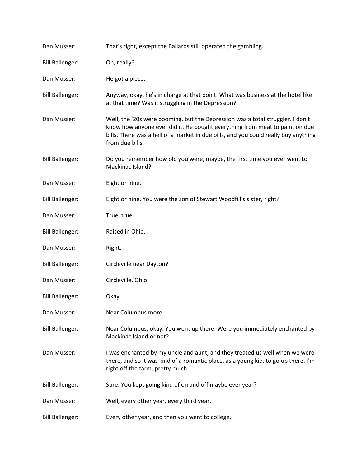| Dan Musser:            | That's right, except the Ballards still operated the gambling.                                                                                                                                                                                                          |
|------------------------|-------------------------------------------------------------------------------------------------------------------------------------------------------------------------------------------------------------------------------------------------------------------------|
| <b>Bill Ballenger:</b> | Oh, really?                                                                                                                                                                                                                                                             |
| Dan Musser:            | He got a piece.                                                                                                                                                                                                                                                         |
| <b>Bill Ballenger:</b> | Anyway, okay, he's in charge at that point. What was business at the hotel like<br>at that time? Was it struggling in the Depression?                                                                                                                                   |
| Dan Musser:            | Well, the '20s were booming, but the Depression was a total struggler. I don't<br>know how anyone ever did it. He bought everything from meat to paint on due<br>bills. There was a hell of a market in due bills, and you could really buy anything<br>from due bills. |
| <b>Bill Ballenger:</b> | Do you remember how old you were, maybe, the first time you ever went to<br>Mackinac Island?                                                                                                                                                                            |
| Dan Musser:            | Eight or nine.                                                                                                                                                                                                                                                          |
| <b>Bill Ballenger:</b> | Eight or nine. You were the son of Stewart Woodfill's sister, right?                                                                                                                                                                                                    |
| Dan Musser:            | True, true.                                                                                                                                                                                                                                                             |
| <b>Bill Ballenger:</b> | Raised in Ohio.                                                                                                                                                                                                                                                         |
| Dan Musser:            | Right.                                                                                                                                                                                                                                                                  |
| <b>Bill Ballenger:</b> | Circleville near Dayton?                                                                                                                                                                                                                                                |
| Dan Musser:            | Circleville, Ohio.                                                                                                                                                                                                                                                      |
| <b>Bill Ballenger:</b> | Okay.                                                                                                                                                                                                                                                                   |
| Dan Musser:            | Near Columbus more.                                                                                                                                                                                                                                                     |
| <b>Bill Ballenger:</b> | Near Columbus, okay. You went up there. Were you immediately enchanted by<br>Mackinac Island or not?                                                                                                                                                                    |
| Dan Musser:            | I was enchanted by my uncle and aunt, and they treated us well when we were<br>there, and so it was kind of a romantic place, as a young kid, to go up there. I'm<br>right off the farm, pretty much.                                                                   |
| <b>Bill Ballenger:</b> | Sure. You kept going kind of on and off maybe ever year?                                                                                                                                                                                                                |
| Dan Musser:            | Well, every other year, every third year.                                                                                                                                                                                                                               |
| <b>Bill Ballenger:</b> | Every other year, and then you went to college.                                                                                                                                                                                                                         |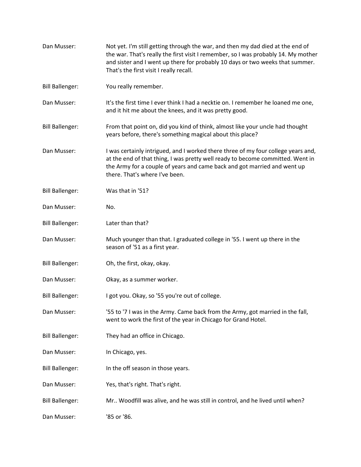| Dan Musser:            | Not yet. I'm still getting through the war, and then my dad died at the end of<br>the war. That's really the first visit I remember, so I was probably 14. My mother<br>and sister and I went up there for probably 10 days or two weeks that summer.<br>That's the first visit I really recall. |
|------------------------|--------------------------------------------------------------------------------------------------------------------------------------------------------------------------------------------------------------------------------------------------------------------------------------------------|
| <b>Bill Ballenger:</b> | You really remember.                                                                                                                                                                                                                                                                             |
| Dan Musser:            | It's the first time I ever think I had a necktie on. I remember he loaned me one,<br>and it hit me about the knees, and it was pretty good.                                                                                                                                                      |
| <b>Bill Ballenger:</b> | From that point on, did you kind of think, almost like your uncle had thought<br>years before, there's something magical about this place?                                                                                                                                                       |
| Dan Musser:            | I was certainly intrigued, and I worked there three of my four college years and,<br>at the end of that thing, I was pretty well ready to become committed. Went in<br>the Army for a couple of years and came back and got married and went up<br>there. That's where I've been.                |
| <b>Bill Ballenger:</b> | Was that in '51?                                                                                                                                                                                                                                                                                 |
| Dan Musser:            | No.                                                                                                                                                                                                                                                                                              |
| <b>Bill Ballenger:</b> | Later than that?                                                                                                                                                                                                                                                                                 |
| Dan Musser:            | Much younger than that. I graduated college in '55. I went up there in the<br>season of '51 as a first year.                                                                                                                                                                                     |
| <b>Bill Ballenger:</b> | Oh, the first, okay, okay.                                                                                                                                                                                                                                                                       |
| Dan Musser:            | Okay, as a summer worker.                                                                                                                                                                                                                                                                        |
| <b>Bill Ballenger:</b> | I got you. Okay, so '55 you're out of college.                                                                                                                                                                                                                                                   |
| Dan Musser:            | '55 to '7 I was in the Army. Came back from the Army, got married in the fall,<br>went to work the first of the year in Chicago for Grand Hotel.                                                                                                                                                 |
| <b>Bill Ballenger:</b> | They had an office in Chicago.                                                                                                                                                                                                                                                                   |
| Dan Musser:            | In Chicago, yes.                                                                                                                                                                                                                                                                                 |
| <b>Bill Ballenger:</b> | In the off season in those years.                                                                                                                                                                                                                                                                |
| Dan Musser:            | Yes, that's right. That's right.                                                                                                                                                                                                                                                                 |
| <b>Bill Ballenger:</b> | Mr Woodfill was alive, and he was still in control, and he lived until when?                                                                                                                                                                                                                     |
| Dan Musser:            | '85 or '86.                                                                                                                                                                                                                                                                                      |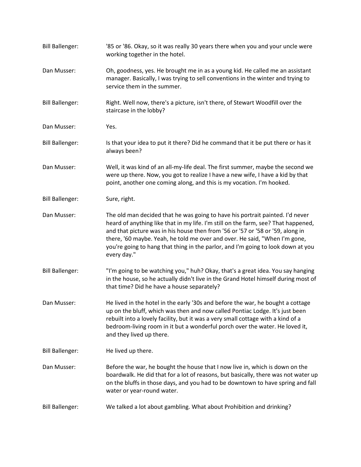| <b>Bill Ballenger:</b> | '85 or '86. Okay, so it was really 30 years there when you and your uncle were<br>working together in the hotel.                                                                                                                                                                                                                                                                                                                       |
|------------------------|----------------------------------------------------------------------------------------------------------------------------------------------------------------------------------------------------------------------------------------------------------------------------------------------------------------------------------------------------------------------------------------------------------------------------------------|
| Dan Musser:            | Oh, goodness, yes. He brought me in as a young kid. He called me an assistant<br>manager. Basically, I was trying to sell conventions in the winter and trying to<br>service them in the summer.                                                                                                                                                                                                                                       |
| <b>Bill Ballenger:</b> | Right. Well now, there's a picture, isn't there, of Stewart Woodfill over the<br>staircase in the lobby?                                                                                                                                                                                                                                                                                                                               |
| Dan Musser:            | Yes.                                                                                                                                                                                                                                                                                                                                                                                                                                   |
| <b>Bill Ballenger:</b> | Is that your idea to put it there? Did he command that it be put there or has it<br>always been?                                                                                                                                                                                                                                                                                                                                       |
| Dan Musser:            | Well, it was kind of an all-my-life deal. The first summer, maybe the second we<br>were up there. Now, you got to realize I have a new wife, I have a kid by that<br>point, another one coming along, and this is my vocation. I'm hooked.                                                                                                                                                                                             |
| <b>Bill Ballenger:</b> | Sure, right.                                                                                                                                                                                                                                                                                                                                                                                                                           |
| Dan Musser:            | The old man decided that he was going to have his portrait painted. I'd never<br>heard of anything like that in my life. I'm still on the farm, see? That happened,<br>and that picture was in his house then from '56 or '57 or '58 or '59, along in<br>there, '60 maybe. Yeah, he told me over and over. He said, "When I'm gone,<br>you're going to hang that thing in the parlor, and I'm going to look down at you<br>every day." |
| <b>Bill Ballenger:</b> | "I'm going to be watching you," huh? Okay, that's a great idea. You say hanging<br>in the house, so he actually didn't live in the Grand Hotel himself during most of<br>that time? Did he have a house separately?                                                                                                                                                                                                                    |
| Dan Musser:            | He lived in the hotel in the early '30s and before the war, he bought a cottage<br>up on the bluff, which was then and now called Pontiac Lodge. It's just been<br>rebuilt into a lovely facility, but it was a very small cottage with a kind of a<br>bedroom-living room in it but a wonderful porch over the water. He loved it,<br>and they lived up there.                                                                        |
| <b>Bill Ballenger:</b> | He lived up there.                                                                                                                                                                                                                                                                                                                                                                                                                     |
| Dan Musser:            | Before the war, he bought the house that I now live in, which is down on the<br>boardwalk. He did that for a lot of reasons, but basically, there was not water up<br>on the bluffs in those days, and you had to be downtown to have spring and fall<br>water or year-round water.                                                                                                                                                    |
| <b>Bill Ballenger:</b> | We talked a lot about gambling. What about Prohibition and drinking?                                                                                                                                                                                                                                                                                                                                                                   |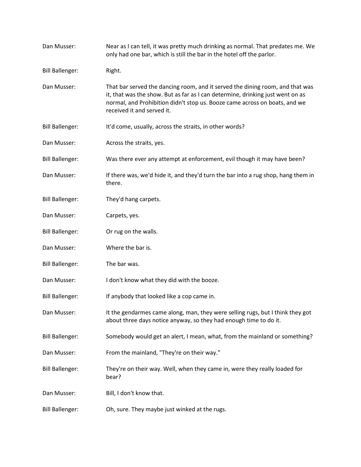| Dan Musser:            | Near as I can tell, it was pretty much drinking as normal. That predates me. We<br>only had one bar, which is still the bar in the hotel off the parlor.                                                                                                                    |
|------------------------|-----------------------------------------------------------------------------------------------------------------------------------------------------------------------------------------------------------------------------------------------------------------------------|
| <b>Bill Ballenger:</b> | Right.                                                                                                                                                                                                                                                                      |
| Dan Musser:            | That bar served the dancing room, and it served the dining room, and that was<br>it, that was the show. But as far as I can determine, drinking just went on as<br>normal, and Prohibition didn't stop us. Booze came across on boats, and we<br>received it and served it. |
| <b>Bill Ballenger:</b> | It'd come, usually, across the straits, in other words?                                                                                                                                                                                                                     |
| Dan Musser:            | Across the straits, yes.                                                                                                                                                                                                                                                    |
| <b>Bill Ballenger:</b> | Was there ever any attempt at enforcement, evil though it may have been?                                                                                                                                                                                                    |
| Dan Musser:            | If there was, we'd hide it, and they'd turn the bar into a rug shop, hang them in<br>there.                                                                                                                                                                                 |
| <b>Bill Ballenger:</b> | They'd hang carpets.                                                                                                                                                                                                                                                        |
| Dan Musser:            | Carpets, yes.                                                                                                                                                                                                                                                               |
| <b>Bill Ballenger:</b> | Or rug on the walls.                                                                                                                                                                                                                                                        |
| Dan Musser:            | Where the bar is.                                                                                                                                                                                                                                                           |
| <b>Bill Ballenger:</b> | The bar was.                                                                                                                                                                                                                                                                |
| Dan Musser:            | I don't know what they did with the booze.                                                                                                                                                                                                                                  |
| <b>Bill Ballenger:</b> | If anybody that looked like a cop came in.                                                                                                                                                                                                                                  |
| Dan Musser:            | It the gendarmes came along, man, they were selling rugs, but I think they got<br>about three days notice anyway, so they had enough time to do it.                                                                                                                         |
| <b>Bill Ballenger:</b> | Somebody would get an alert, I mean, what, from the mainland or something?                                                                                                                                                                                                  |
| Dan Musser:            | From the mainland, "They're on their way."                                                                                                                                                                                                                                  |
| <b>Bill Ballenger:</b> | They're on their way. Well, when they came in, were they really loaded for<br>bear?                                                                                                                                                                                         |
| Dan Musser:            | Bill, I don't know that.                                                                                                                                                                                                                                                    |
| <b>Bill Ballenger:</b> | Oh, sure. They maybe just winked at the rugs.                                                                                                                                                                                                                               |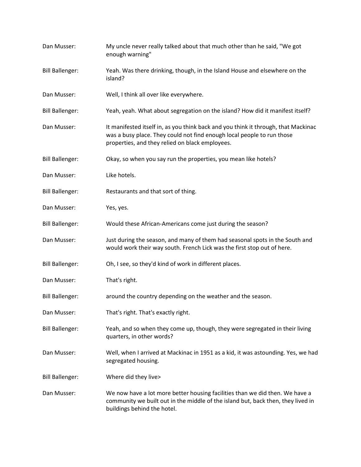| Dan Musser:            | My uncle never really talked about that much other than he said, "We got<br>enough warning"                                                                                                                     |
|------------------------|-----------------------------------------------------------------------------------------------------------------------------------------------------------------------------------------------------------------|
| <b>Bill Ballenger:</b> | Yeah. Was there drinking, though, in the Island House and elsewhere on the<br>island?                                                                                                                           |
| Dan Musser:            | Well, I think all over like everywhere.                                                                                                                                                                         |
| <b>Bill Ballenger:</b> | Yeah, yeah. What about segregation on the island? How did it manifest itself?                                                                                                                                   |
| Dan Musser:            | It manifested itself in, as you think back and you think it through, that Mackinac<br>was a busy place. They could not find enough local people to run those<br>properties, and they relied on black employees. |
| <b>Bill Ballenger:</b> | Okay, so when you say run the properties, you mean like hotels?                                                                                                                                                 |
| Dan Musser:            | Like hotels.                                                                                                                                                                                                    |
| <b>Bill Ballenger:</b> | Restaurants and that sort of thing.                                                                                                                                                                             |
| Dan Musser:            | Yes, yes.                                                                                                                                                                                                       |
| <b>Bill Ballenger:</b> | Would these African-Americans come just during the season?                                                                                                                                                      |
| Dan Musser:            | Just during the season, and many of them had seasonal spots in the South and<br>would work their way south. French Lick was the first stop out of here.                                                         |
| <b>Bill Ballenger:</b> | Oh, I see, so they'd kind of work in different places.                                                                                                                                                          |
| Dan Musser:            | That's right.                                                                                                                                                                                                   |
| <b>Bill Ballenger:</b> | around the country depending on the weather and the season.                                                                                                                                                     |
| Dan Musser:            | That's right. That's exactly right.                                                                                                                                                                             |
| <b>Bill Ballenger:</b> | Yeah, and so when they come up, though, they were segregated in their living<br>quarters, in other words?                                                                                                       |
| Dan Musser:            | Well, when I arrived at Mackinac in 1951 as a kid, it was astounding. Yes, we had<br>segregated housing.                                                                                                        |
| <b>Bill Ballenger:</b> | Where did they live>                                                                                                                                                                                            |
| Dan Musser:            | We now have a lot more better housing facilities than we did then. We have a<br>community we built out in the middle of the island but, back then, they lived in<br>buildings behind the hotel.                 |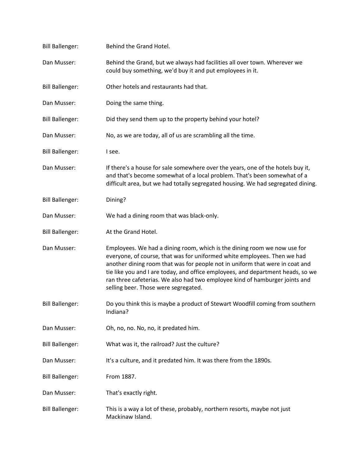| <b>Bill Ballenger:</b> | Behind the Grand Hotel.                                                                                                                                                                                                                                                                                                                                                                                                                        |
|------------------------|------------------------------------------------------------------------------------------------------------------------------------------------------------------------------------------------------------------------------------------------------------------------------------------------------------------------------------------------------------------------------------------------------------------------------------------------|
| Dan Musser:            | Behind the Grand, but we always had facilities all over town. Wherever we<br>could buy something, we'd buy it and put employees in it.                                                                                                                                                                                                                                                                                                         |
| <b>Bill Ballenger:</b> | Other hotels and restaurants had that.                                                                                                                                                                                                                                                                                                                                                                                                         |
| Dan Musser:            | Doing the same thing.                                                                                                                                                                                                                                                                                                                                                                                                                          |
| <b>Bill Ballenger:</b> | Did they send them up to the property behind your hotel?                                                                                                                                                                                                                                                                                                                                                                                       |
| Dan Musser:            | No, as we are today, all of us are scrambling all the time.                                                                                                                                                                                                                                                                                                                                                                                    |
| <b>Bill Ballenger:</b> | I see.                                                                                                                                                                                                                                                                                                                                                                                                                                         |
| Dan Musser:            | If there's a house for sale somewhere over the years, one of the hotels buy it,<br>and that's become somewhat of a local problem. That's been somewhat of a<br>difficult area, but we had totally segregated housing. We had segregated dining.                                                                                                                                                                                                |
| <b>Bill Ballenger:</b> | Dining?                                                                                                                                                                                                                                                                                                                                                                                                                                        |
| Dan Musser:            | We had a dining room that was black-only.                                                                                                                                                                                                                                                                                                                                                                                                      |
| <b>Bill Ballenger:</b> | At the Grand Hotel.                                                                                                                                                                                                                                                                                                                                                                                                                            |
| Dan Musser:            | Employees. We had a dining room, which is the dining room we now use for<br>everyone, of course, that was for uniformed white employees. Then we had<br>another dining room that was for people not in uniform that were in coat and<br>tie like you and I are today, and office employees, and department heads, so we<br>ran three cafeterias. We also had two employee kind of hamburger joints and<br>selling beer. Those were segregated. |
| <b>Bill Ballenger:</b> | Do you think this is maybe a product of Stewart Woodfill coming from southern<br>Indiana?                                                                                                                                                                                                                                                                                                                                                      |
| Dan Musser:            | Oh, no, no. No, no, it predated him.                                                                                                                                                                                                                                                                                                                                                                                                           |
| <b>Bill Ballenger:</b> | What was it, the railroad? Just the culture?                                                                                                                                                                                                                                                                                                                                                                                                   |
| Dan Musser:            | It's a culture, and it predated him. It was there from the 1890s.                                                                                                                                                                                                                                                                                                                                                                              |
| <b>Bill Ballenger:</b> | From 1887.                                                                                                                                                                                                                                                                                                                                                                                                                                     |
| Dan Musser:            | That's exactly right.                                                                                                                                                                                                                                                                                                                                                                                                                          |
| <b>Bill Ballenger:</b> | This is a way a lot of these, probably, northern resorts, maybe not just<br>Mackinaw Island.                                                                                                                                                                                                                                                                                                                                                   |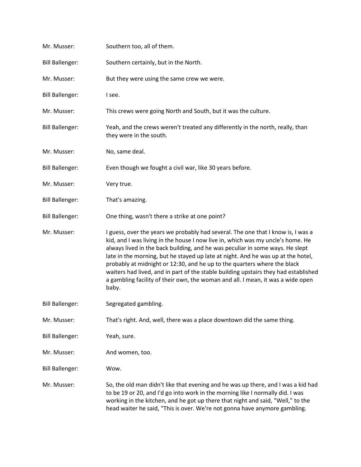| Mr. Musser:            | Southern too, all of them.                                                                                                                                                                                                                                                                                                                                                                                                                                                                                                                                                                              |
|------------------------|---------------------------------------------------------------------------------------------------------------------------------------------------------------------------------------------------------------------------------------------------------------------------------------------------------------------------------------------------------------------------------------------------------------------------------------------------------------------------------------------------------------------------------------------------------------------------------------------------------|
| <b>Bill Ballenger:</b> | Southern certainly, but in the North.                                                                                                                                                                                                                                                                                                                                                                                                                                                                                                                                                                   |
| Mr. Musser:            | But they were using the same crew we were.                                                                                                                                                                                                                                                                                                                                                                                                                                                                                                                                                              |
| <b>Bill Ballenger:</b> | I see.                                                                                                                                                                                                                                                                                                                                                                                                                                                                                                                                                                                                  |
| Mr. Musser:            | This crews were going North and South, but it was the culture.                                                                                                                                                                                                                                                                                                                                                                                                                                                                                                                                          |
| <b>Bill Ballenger:</b> | Yeah, and the crews weren't treated any differently in the north, really, than<br>they were in the south.                                                                                                                                                                                                                                                                                                                                                                                                                                                                                               |
| Mr. Musser:            | No, same deal.                                                                                                                                                                                                                                                                                                                                                                                                                                                                                                                                                                                          |
| <b>Bill Ballenger:</b> | Even though we fought a civil war, like 30 years before.                                                                                                                                                                                                                                                                                                                                                                                                                                                                                                                                                |
| Mr. Musser:            | Very true.                                                                                                                                                                                                                                                                                                                                                                                                                                                                                                                                                                                              |
| <b>Bill Ballenger:</b> | That's amazing.                                                                                                                                                                                                                                                                                                                                                                                                                                                                                                                                                                                         |
| <b>Bill Ballenger:</b> | One thing, wasn't there a strike at one point?                                                                                                                                                                                                                                                                                                                                                                                                                                                                                                                                                          |
| Mr. Musser:            | I guess, over the years we probably had several. The one that I know is, I was a<br>kid, and I was living in the house I now live in, which was my uncle's home. He<br>always lived in the back building, and he was peculiar in some ways. He slept<br>late in the morning, but he stayed up late at night. And he was up at the hotel,<br>probably at midnight or 12:30, and he up to the quarters where the black<br>waiters had lived, and in part of the stable building upstairs they had established<br>a gambling facility of their own, the woman and all. I mean, it was a wide open<br>baby. |
| <b>Bill Ballenger:</b> | Segregated gambling.                                                                                                                                                                                                                                                                                                                                                                                                                                                                                                                                                                                    |
| Mr. Musser:            | That's right. And, well, there was a place downtown did the same thing.                                                                                                                                                                                                                                                                                                                                                                                                                                                                                                                                 |
| <b>Bill Ballenger:</b> | Yeah, sure.                                                                                                                                                                                                                                                                                                                                                                                                                                                                                                                                                                                             |
| Mr. Musser:            | And women, too.                                                                                                                                                                                                                                                                                                                                                                                                                                                                                                                                                                                         |
| <b>Bill Ballenger:</b> | Wow.                                                                                                                                                                                                                                                                                                                                                                                                                                                                                                                                                                                                    |
| Mr. Musser:            | So, the old man didn't like that evening and he was up there, and I was a kid had<br>to be 19 or 20, and I'd go into work in the morning like I normally did. I was<br>working in the kitchen, and he got up there that night and said, "Well," to the<br>head waiter he said, "This is over. We're not gonna have anymore gambling.                                                                                                                                                                                                                                                                    |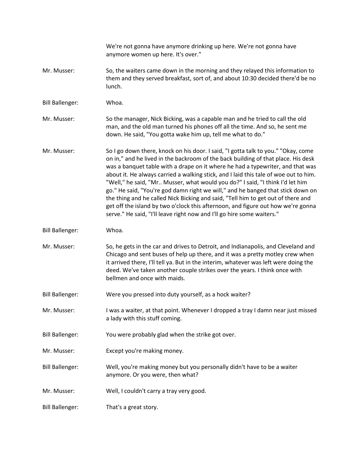|                        | We're not gonna have anymore drinking up here. We're not gonna have<br>anymore women up here. It's over."                                                                                                                                                                                                                                                                                                                                                                                                                                                                                                                                                                                                                                                              |
|------------------------|------------------------------------------------------------------------------------------------------------------------------------------------------------------------------------------------------------------------------------------------------------------------------------------------------------------------------------------------------------------------------------------------------------------------------------------------------------------------------------------------------------------------------------------------------------------------------------------------------------------------------------------------------------------------------------------------------------------------------------------------------------------------|
| Mr. Musser:            | So, the waiters came down in the morning and they relayed this information to<br>them and they served breakfast, sort of, and about 10:30 decided there'd be no<br>lunch.                                                                                                                                                                                                                                                                                                                                                                                                                                                                                                                                                                                              |
| <b>Bill Ballenger:</b> | Whoa.                                                                                                                                                                                                                                                                                                                                                                                                                                                                                                                                                                                                                                                                                                                                                                  |
| Mr. Musser:            | So the manager, Nick Bicking, was a capable man and he tried to call the old<br>man, and the old man turned his phones off all the time. And so, he sent me<br>down. He said, "You gotta wake him up, tell me what to do."                                                                                                                                                                                                                                                                                                                                                                                                                                                                                                                                             |
| Mr. Musser:            | So I go down there, knock on his door. I said, "I gotta talk to you." "Okay, come<br>on in," and he lived in the backroom of the back building of that place. His desk<br>was a banquet table with a drape on it where he had a typewriter, and that was<br>about it. He always carried a walking stick, and I laid this tale of woe out to him.<br>"Well," he said, "Mr Musser, what would you do?" I said, "I think I'd let him<br>go." He said, "You're god damn right we will," and he banged that stick down on<br>the thing and he called Nick Bicking and said, "Tell him to get out of there and<br>get off the island by two o'clock this afternoon, and figure out how we're gonna<br>serve." He said, "I'll leave right now and I'll go hire some waiters." |
| <b>Bill Ballenger:</b> | Whoa.                                                                                                                                                                                                                                                                                                                                                                                                                                                                                                                                                                                                                                                                                                                                                                  |
| Mr. Musser:            | So, he gets in the car and drives to Detroit, and Indianapolis, and Cleveland and<br>Chicago and sent buses of help up there, and it was a pretty motley crew when<br>it arrived there, I'll tell ya. But in the interim, whatever was left were doing the<br>deed. We've taken another couple strikes over the years. I think once with<br>bellmen and once with maids.                                                                                                                                                                                                                                                                                                                                                                                               |
| <b>Bill Ballenger:</b> | Were you pressed into duty yourself, as a hock waiter?                                                                                                                                                                                                                                                                                                                                                                                                                                                                                                                                                                                                                                                                                                                 |
| Mr. Musser:            | I was a waiter, at that point. Whenever I dropped a tray I damn near just missed<br>a lady with this stuff coming.                                                                                                                                                                                                                                                                                                                                                                                                                                                                                                                                                                                                                                                     |
| <b>Bill Ballenger:</b> | You were probably glad when the strike got over.                                                                                                                                                                                                                                                                                                                                                                                                                                                                                                                                                                                                                                                                                                                       |
| Mr. Musser:            | Except you're making money.                                                                                                                                                                                                                                                                                                                                                                                                                                                                                                                                                                                                                                                                                                                                            |
| <b>Bill Ballenger:</b> | Well, you're making money but you personally didn't have to be a waiter<br>anymore. Or you were, then what?                                                                                                                                                                                                                                                                                                                                                                                                                                                                                                                                                                                                                                                            |
| Mr. Musser:            | Well, I couldn't carry a tray very good.                                                                                                                                                                                                                                                                                                                                                                                                                                                                                                                                                                                                                                                                                                                               |
| <b>Bill Ballenger:</b> | That's a great story.                                                                                                                                                                                                                                                                                                                                                                                                                                                                                                                                                                                                                                                                                                                                                  |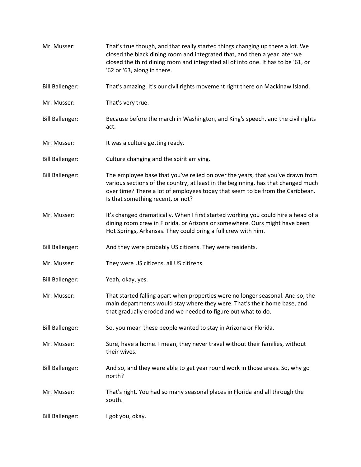Mr. Musser: That's true though, and that really started things changing up there a lot. We closed the black dining room and integrated that, and then a year later we closed the third dining room and integrated all of into one. It has to be '61, or '62 or '63, along in there. Bill Ballenger: That's amazing. It's our civil rights movement right there on Mackinaw Island. Mr. Musser: That's very true. Bill Ballenger: Because before the march in Washington, and King's speech, and the civil rights act. Mr. Musser: It was a culture getting ready. Bill Ballenger: Culture changing and the spirit arriving. Bill Ballenger: The employee base that you've relied on over the years, that you've drawn from various sections of the country, at least in the beginning, has that changed much over time? There a lot of employees today that seem to be from the Caribbean. Is that something recent, or not? Mr. Musser: It's changed dramatically. When I first started working you could hire a head of a dining room crew in Florida, or Arizona or somewhere. Ours might have been Hot Springs, Arkansas. They could bring a full crew with him. Bill Ballenger: And they were probably US citizens. They were residents. Mr. Musser: They were US citizens, all US citizens. Bill Ballenger: Yeah, okay, yes. Mr. Musser: That started falling apart when properties were no longer seasonal. And so, the main departments would stay where they were. That's their home base, and that gradually eroded and we needed to figure out what to do. Bill Ballenger: So, you mean these people wanted to stay in Arizona or Florida. Mr. Musser: Sure, have a home. I mean, they never travel without their families, without their wives. Bill Ballenger: And so, and they were able to get year round work in those areas. So, why go north? Mr. Musser: That's right. You had so many seasonal places in Florida and all through the south. Bill Ballenger: I got you, okay.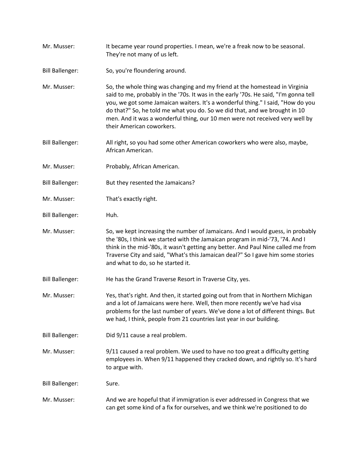- Mr. Musser: It became year round properties. I mean, we're a freak now to be seasonal. They're not many of us left.
- Bill Ballenger: So, you're floundering around.
- Mr. Musser: So, the whole thing was changing and my friend at the homestead in Virginia said to me, probably in the '70s. It was in the early '70s. He said, "I'm gonna tell you, we got some Jamaican waiters. It's a wonderful thing." I said, "How do you do that?" So, he told me what you do. So we did that, and we brought in 10 men. And it was a wonderful thing, our 10 men were not received very well by their American coworkers.
- Bill Ballenger: All right, so you had some other American coworkers who were also, maybe, African American.
- Mr. Musser: Probably, African American.
- Bill Ballenger: But they resented the Jamaicans?
- Mr. Musser: That's exactly right.
- Bill Ballenger: Huh.
- Mr. Musser: So, we kept increasing the number of Jamaicans. And I would guess, in probably the '80s, I think we started with the Jamaican program in mid-'73, '74. And I think in the mid-'80s, it wasn't getting any better. And Paul Nine called me from Traverse City and said, "What's this Jamaican deal?" So I gave him some stories and what to do, so he started it.
- Bill Ballenger: He has the Grand Traverse Resort in Traverse City, yes.
- Mr. Musser: Yes, that's right. And then, it started going out from that in Northern Michigan and a lot of Jamaicans were here. Well, then more recently we've had visa problems for the last number of years. We've done a lot of different things. But we had, I think, people from 21 countries last year in our building.
- Bill Ballenger: Did 9/11 cause a real problem.
- Mr. Musser: 9/11 caused a real problem. We used to have no too great a difficulty getting employees in. When 9/11 happened they cracked down, and rightly so. It's hard to argue with.

Bill Ballenger: Sure.

Mr. Musser: And we are hopeful that if immigration is ever addressed in Congress that we can get some kind of a fix for ourselves, and we think we're positioned to do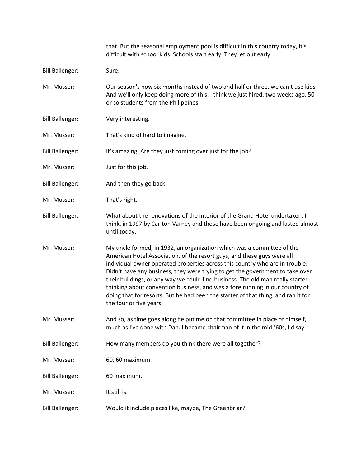|                        | that. But the seasonal employment pool is difficult in this country today, it's<br>difficult with school kids. Schools start early. They let out early.                                                                                                                                                                                                                                                                                                                                                                                                                                              |
|------------------------|------------------------------------------------------------------------------------------------------------------------------------------------------------------------------------------------------------------------------------------------------------------------------------------------------------------------------------------------------------------------------------------------------------------------------------------------------------------------------------------------------------------------------------------------------------------------------------------------------|
| <b>Bill Ballenger:</b> | Sure.                                                                                                                                                                                                                                                                                                                                                                                                                                                                                                                                                                                                |
| Mr. Musser:            | Our season's now six months instead of two and half or three, we can't use kids.<br>And we'll only keep doing more of this. I think we just hired, two weeks ago, 50<br>or so students from the Philippines.                                                                                                                                                                                                                                                                                                                                                                                         |
| <b>Bill Ballenger:</b> | Very interesting.                                                                                                                                                                                                                                                                                                                                                                                                                                                                                                                                                                                    |
| Mr. Musser:            | That's kind of hard to imagine.                                                                                                                                                                                                                                                                                                                                                                                                                                                                                                                                                                      |
| <b>Bill Ballenger:</b> | It's amazing. Are they just coming over just for the job?                                                                                                                                                                                                                                                                                                                                                                                                                                                                                                                                            |
| Mr. Musser:            | Just for this job.                                                                                                                                                                                                                                                                                                                                                                                                                                                                                                                                                                                   |
| <b>Bill Ballenger:</b> | And then they go back.                                                                                                                                                                                                                                                                                                                                                                                                                                                                                                                                                                               |
| Mr. Musser:            | That's right.                                                                                                                                                                                                                                                                                                                                                                                                                                                                                                                                                                                        |
| <b>Bill Ballenger:</b> | What about the renovations of the interior of the Grand Hotel undertaken, I<br>think, in 1997 by Carlton Varney and those have been ongoing and lasted almost<br>until today.                                                                                                                                                                                                                                                                                                                                                                                                                        |
| Mr. Musser:            | My uncle formed, in 1932, an organization which was a committee of the<br>American Hotel Association, of the resort guys, and these guys were all<br>individual owner operated properties across this country who are in trouble.<br>Didn't have any business, they were trying to get the government to take over<br>their buildings, or any way we could find business. The old man really started<br>thinking about convention business, and was a fore running in our country of<br>doing that for resorts. But he had been the starter of that thing, and ran it for<br>the four or five years. |
| Mr. Musser:            | And so, as time goes along he put me on that committee in place of himself,<br>much as I've done with Dan. I became chairman of it in the mid-'60s, I'd say.                                                                                                                                                                                                                                                                                                                                                                                                                                         |
| <b>Bill Ballenger:</b> | How many members do you think there were all together?                                                                                                                                                                                                                                                                                                                                                                                                                                                                                                                                               |
| Mr. Musser:            | 60, 60 maximum.                                                                                                                                                                                                                                                                                                                                                                                                                                                                                                                                                                                      |
| <b>Bill Ballenger:</b> | 60 maximum.                                                                                                                                                                                                                                                                                                                                                                                                                                                                                                                                                                                          |
| Mr. Musser:            | It still is.                                                                                                                                                                                                                                                                                                                                                                                                                                                                                                                                                                                         |
| <b>Bill Ballenger:</b> | Would it include places like, maybe, The Greenbriar?                                                                                                                                                                                                                                                                                                                                                                                                                                                                                                                                                 |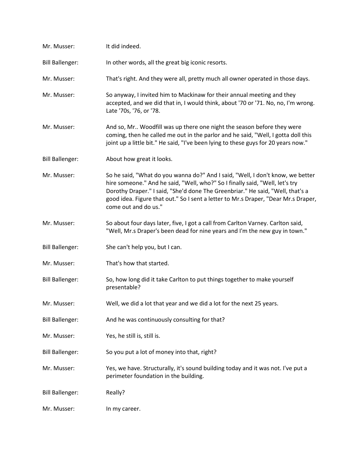| Mr. Musser:            | It did indeed.                                                                                                                                                                                                                                                                                                                                                 |
|------------------------|----------------------------------------------------------------------------------------------------------------------------------------------------------------------------------------------------------------------------------------------------------------------------------------------------------------------------------------------------------------|
| <b>Bill Ballenger:</b> | In other words, all the great big iconic resorts.                                                                                                                                                                                                                                                                                                              |
| Mr. Musser:            | That's right. And they were all, pretty much all owner operated in those days.                                                                                                                                                                                                                                                                                 |
| Mr. Musser:            | So anyway, I invited him to Mackinaw for their annual meeting and they<br>accepted, and we did that in, I would think, about '70 or '71. No, no, I'm wrong.<br>Late '70s, '76, or '78.                                                                                                                                                                         |
| Mr. Musser:            | And so, Mr Woodfill was up there one night the season before they were<br>coming, then he called me out in the parlor and he said, "Well, I gotta doll this<br>joint up a little bit." He said, "I've been lying to these guys for 20 years now."                                                                                                              |
| <b>Bill Ballenger:</b> | About how great it looks.                                                                                                                                                                                                                                                                                                                                      |
| Mr. Musser:            | So he said, "What do you wanna do?" And I said, "Well, I don't know, we better<br>hire someone." And he said, "Well, who?" So I finally said, "Well, let's try<br>Dorothy Draper." I said, "She'd done The Greenbriar." He said, "Well, that's a<br>good idea. Figure that out." So I sent a letter to Mr.s Draper, "Dear Mr.s Draper,<br>come out and do us." |
| Mr. Musser:            | So about four days later, five, I got a call from Carlton Varney. Carlton said,<br>"Well, Mr.s Draper's been dead for nine years and I'm the new guy in town."                                                                                                                                                                                                 |
| <b>Bill Ballenger:</b> | She can't help you, but I can.                                                                                                                                                                                                                                                                                                                                 |
| Mr. Musser:            | That's how that started.                                                                                                                                                                                                                                                                                                                                       |
| <b>Bill Ballenger:</b> | So, how long did it take Carlton to put things together to make yourself<br>presentable?                                                                                                                                                                                                                                                                       |
| Mr. Musser:            | Well, we did a lot that year and we did a lot for the next 25 years.                                                                                                                                                                                                                                                                                           |
| <b>Bill Ballenger:</b> | And he was continuously consulting for that?                                                                                                                                                                                                                                                                                                                   |
| Mr. Musser:            | Yes, he still is, still is.                                                                                                                                                                                                                                                                                                                                    |
| <b>Bill Ballenger:</b> | So you put a lot of money into that, right?                                                                                                                                                                                                                                                                                                                    |
| Mr. Musser:            | Yes, we have. Structurally, it's sound building today and it was not. I've put a<br>perimeter foundation in the building.                                                                                                                                                                                                                                      |
| <b>Bill Ballenger:</b> | Really?                                                                                                                                                                                                                                                                                                                                                        |
| Mr. Musser:            | In my career.                                                                                                                                                                                                                                                                                                                                                  |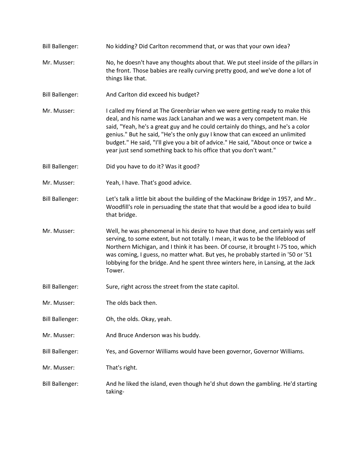- Bill Ballenger: No kidding? Did Carlton recommend that, or was that your own idea?
- Mr. Musser: No, he doesn't have any thoughts about that. We put steel inside of the pillars in the front. Those babies are really curving pretty good, and we've done a lot of things like that.
- Bill Ballenger: And Carlton did exceed his budget?
- Mr. Musser: I called my friend at The Greenbriar when we were getting ready to make this deal, and his name was Jack Lanahan and we was a very competent man. He said, "Yeah, he's a great guy and he could certainly do things, and he's a color genius." But he said, "He's the only guy I know that can exceed an unlimited budget." He said, "I'll give you a bit of advice." He said, "About once or twice a year just send something back to his office that you don't want."
- Bill Ballenger: Did you have to do it? Was it good?
- Mr. Musser: Yeah, I have. That's good advice.
- Bill Ballenger: Let's talk a little bit about the building of the Mackinaw Bridge in 1957, and Mr.. Woodfill's role in persuading the state that that would be a good idea to build that bridge.
- Mr. Musser: Well, he was phenomenal in his desire to have that done, and certainly was self serving, to some extent, but not totally. I mean, it was to be the lifeblood of Northern Michigan, and I think it has been. Of course, it brought I-75 too, which was coming, I guess, no matter what. But yes, he probably started in '50 or '51 lobbying for the bridge. And he spent three winters here, in Lansing, at the Jack Tower.
- Bill Ballenger: Sure, right across the street from the state capitol.
- Mr. Musser: The olds back then.
- Bill Ballenger: Oh, the olds. Okay, yeah.
- Mr. Musser: And Bruce Anderson was his buddy.
- Bill Ballenger: Yes, and Governor Williams would have been governor, Governor Williams.
- Mr. Musser: That's right.
- Bill Ballenger: And he liked the island, even though he'd shut down the gambling. He'd starting taking-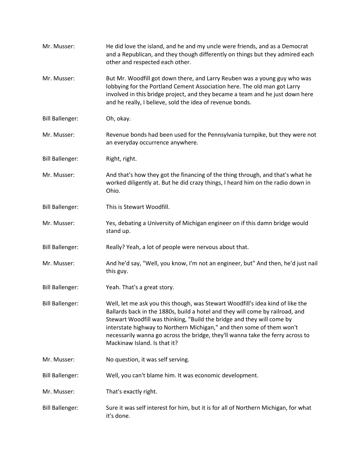| Mr. Musser:            | He did love the island, and he and my uncle were friends, and as a Democrat<br>and a Republican, and they though differently on things but they admired each<br>other and respected each other.                                                                                                                                                                                                                                      |
|------------------------|--------------------------------------------------------------------------------------------------------------------------------------------------------------------------------------------------------------------------------------------------------------------------------------------------------------------------------------------------------------------------------------------------------------------------------------|
| Mr. Musser:            | But Mr. Woodfill got down there, and Larry Reuben was a young guy who was<br>lobbying for the Portland Cement Association here. The old man got Larry<br>involved in this bridge project, and they became a team and he just down here<br>and he really, I believe, sold the idea of revenue bonds.                                                                                                                                  |
| <b>Bill Ballenger:</b> | Oh, okay.                                                                                                                                                                                                                                                                                                                                                                                                                            |
| Mr. Musser:            | Revenue bonds had been used for the Pennsylvania turnpike, but they were not<br>an everyday occurrence anywhere.                                                                                                                                                                                                                                                                                                                     |
| <b>Bill Ballenger:</b> | Right, right.                                                                                                                                                                                                                                                                                                                                                                                                                        |
| Mr. Musser:            | And that's how they got the financing of the thing through, and that's what he<br>worked diligently at. But he did crazy things, I heard him on the radio down in<br>Ohio.                                                                                                                                                                                                                                                           |
| <b>Bill Ballenger:</b> | This is Stewart Woodfill.                                                                                                                                                                                                                                                                                                                                                                                                            |
| Mr. Musser:            | Yes, debating a University of Michigan engineer on if this damn bridge would<br>stand up.                                                                                                                                                                                                                                                                                                                                            |
| <b>Bill Ballenger:</b> | Really? Yeah, a lot of people were nervous about that.                                                                                                                                                                                                                                                                                                                                                                               |
| Mr. Musser:            | And he'd say, "Well, you know, I'm not an engineer, but" And then, he'd just nail<br>this guy.                                                                                                                                                                                                                                                                                                                                       |
| <b>Bill Ballenger:</b> | Yeah. That's a great story.                                                                                                                                                                                                                                                                                                                                                                                                          |
| <b>Bill Ballenger:</b> | Well, let me ask you this though, was Stewart Woodfill's idea kind of like the<br>Ballards back in the 1880s, build a hotel and they will come by railroad, and<br>Stewart Woodfill was thinking, "Build the bridge and they will come by<br>interstate highway to Northern Michigan," and then some of them won't<br>necessarily wanna go across the bridge, they'll wanna take the ferry across to<br>Mackinaw Island. Is that it? |
| Mr. Musser:            | No question, it was self serving.                                                                                                                                                                                                                                                                                                                                                                                                    |
| <b>Bill Ballenger:</b> | Well, you can't blame him. It was economic development.                                                                                                                                                                                                                                                                                                                                                                              |
| Mr. Musser:            | That's exactly right.                                                                                                                                                                                                                                                                                                                                                                                                                |
| <b>Bill Ballenger:</b> | Sure it was self interest for him, but it is for all of Northern Michigan, for what<br>it's done.                                                                                                                                                                                                                                                                                                                                    |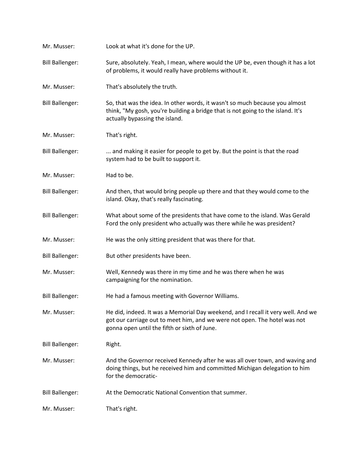| Mr. Musser:            | Look at what it's done for the UP.                                                                                                                                                                            |
|------------------------|---------------------------------------------------------------------------------------------------------------------------------------------------------------------------------------------------------------|
| <b>Bill Ballenger:</b> | Sure, absolutely. Yeah, I mean, where would the UP be, even though it has a lot<br>of problems, it would really have problems without it.                                                                     |
| Mr. Musser:            | That's absolutely the truth.                                                                                                                                                                                  |
| <b>Bill Ballenger:</b> | So, that was the idea. In other words, it wasn't so much because you almost<br>think, "My gosh, you're building a bridge that is not going to the island. It's<br>actually bypassing the island.              |
| Mr. Musser:            | That's right.                                                                                                                                                                                                 |
| <b>Bill Ballenger:</b> | and making it easier for people to get by. But the point is that the road<br>system had to be built to support it.                                                                                            |
| Mr. Musser:            | Had to be.                                                                                                                                                                                                    |
| <b>Bill Ballenger:</b> | And then, that would bring people up there and that they would come to the<br>island. Okay, that's really fascinating.                                                                                        |
| <b>Bill Ballenger:</b> | What about some of the presidents that have come to the island. Was Gerald<br>Ford the only president who actually was there while he was president?                                                          |
| Mr. Musser:            | He was the only sitting president that was there for that.                                                                                                                                                    |
| <b>Bill Ballenger:</b> | But other presidents have been.                                                                                                                                                                               |
| Mr. Musser:            | Well, Kennedy was there in my time and he was there when he was<br>campaigning for the nomination.                                                                                                            |
| <b>Bill Ballenger:</b> | He had a famous meeting with Governor Williams.                                                                                                                                                               |
| Mr. Musser:            | He did, indeed. It was a Memorial Day weekend, and I recall it very well. And we<br>got our carriage out to meet him, and we were not open. The hotel was not<br>gonna open until the fifth or sixth of June. |
| <b>Bill Ballenger:</b> | Right.                                                                                                                                                                                                        |
| Mr. Musser:            | And the Governor received Kennedy after he was all over town, and waving and<br>doing things, but he received him and committed Michigan delegation to him<br>for the democratic-                             |
| <b>Bill Ballenger:</b> | At the Democratic National Convention that summer.                                                                                                                                                            |
| Mr. Musser:            | That's right.                                                                                                                                                                                                 |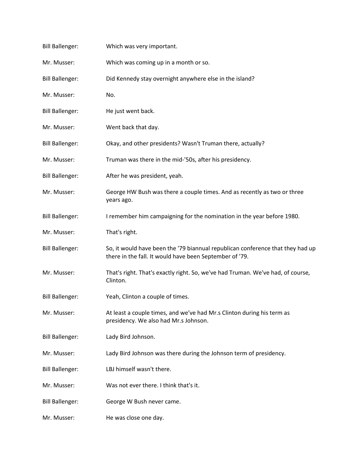| <b>Bill Ballenger:</b> | Which was very important.                                                                                                                 |
|------------------------|-------------------------------------------------------------------------------------------------------------------------------------------|
| Mr. Musser:            | Which was coming up in a month or so.                                                                                                     |
| <b>Bill Ballenger:</b> | Did Kennedy stay overnight anywhere else in the island?                                                                                   |
| Mr. Musser:            | No.                                                                                                                                       |
| <b>Bill Ballenger:</b> | He just went back.                                                                                                                        |
| Mr. Musser:            | Went back that day.                                                                                                                       |
| <b>Bill Ballenger:</b> | Okay, and other presidents? Wasn't Truman there, actually?                                                                                |
| Mr. Musser:            | Truman was there in the mid-'50s, after his presidency.                                                                                   |
| <b>Bill Ballenger:</b> | After he was president, yeah.                                                                                                             |
| Mr. Musser:            | George HW Bush was there a couple times. And as recently as two or three<br>years ago.                                                    |
| <b>Bill Ballenger:</b> | I remember him campaigning for the nomination in the year before 1980.                                                                    |
| Mr. Musser:            | That's right.                                                                                                                             |
| <b>Bill Ballenger:</b> | So, it would have been the '79 biannual republican conference that they had up<br>there in the fall. It would have been September of '79. |
| Mr. Musser:            | That's right. That's exactly right. So, we've had Truman. We've had, of course,<br>Clinton.                                               |
| <b>Bill Ballenger:</b> | Yeah, Clinton a couple of times.                                                                                                          |
| Mr. Musser:            | At least a couple times, and we've had Mr.s Clinton during his term as<br>presidency. We also had Mr.s Johnson.                           |
| <b>Bill Ballenger:</b> | Lady Bird Johnson.                                                                                                                        |
| Mr. Musser:            | Lady Bird Johnson was there during the Johnson term of presidency.                                                                        |
| <b>Bill Ballenger:</b> | LBJ himself wasn't there.                                                                                                                 |
| Mr. Musser:            | Was not ever there. I think that's it.                                                                                                    |
| <b>Bill Ballenger:</b> | George W Bush never came.                                                                                                                 |
| Mr. Musser:            | He was close one day.                                                                                                                     |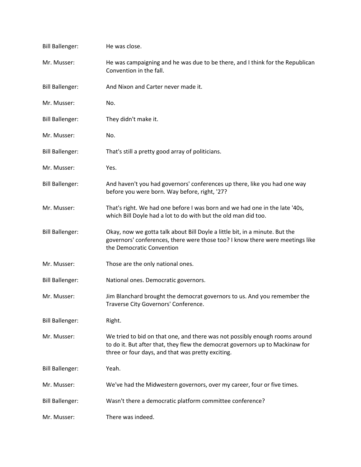| <b>Bill Ballenger:</b> | He was close.                                                                                                                                                                                                     |
|------------------------|-------------------------------------------------------------------------------------------------------------------------------------------------------------------------------------------------------------------|
| Mr. Musser:            | He was campaigning and he was due to be there, and I think for the Republican<br>Convention in the fall.                                                                                                          |
| <b>Bill Ballenger:</b> | And Nixon and Carter never made it.                                                                                                                                                                               |
| Mr. Musser:            | No.                                                                                                                                                                                                               |
| <b>Bill Ballenger:</b> | They didn't make it.                                                                                                                                                                                              |
| Mr. Musser:            | No.                                                                                                                                                                                                               |
| <b>Bill Ballenger:</b> | That's still a pretty good array of politicians.                                                                                                                                                                  |
| Mr. Musser:            | Yes.                                                                                                                                                                                                              |
| <b>Bill Ballenger:</b> | And haven't you had governors' conferences up there, like you had one way<br>before you were born. Way before, right, '27?                                                                                        |
| Mr. Musser:            | That's right. We had one before I was born and we had one in the late '40s,<br>which Bill Doyle had a lot to do with but the old man did too.                                                                     |
| <b>Bill Ballenger:</b> | Okay, now we gotta talk about Bill Doyle a little bit, in a minute. But the<br>governors' conferences, there were those too? I know there were meetings like<br>the Democratic Convention                         |
| Mr. Musser:            | Those are the only national ones.                                                                                                                                                                                 |
| <b>Bill Ballenger:</b> | National ones. Democratic governors.                                                                                                                                                                              |
| Mr. Musser:            | Jim Blanchard brought the democrat governors to us. And you remember the<br>Traverse City Governors' Conference.                                                                                                  |
| <b>Bill Ballenger:</b> | Right.                                                                                                                                                                                                            |
| Mr. Musser:            | We tried to bid on that one, and there was not possibly enough rooms around<br>to do it. But after that, they flew the democrat governors up to Mackinaw for<br>three or four days, and that was pretty exciting. |
| <b>Bill Ballenger:</b> | Yeah.                                                                                                                                                                                                             |
| Mr. Musser:            | We've had the Midwestern governors, over my career, four or five times.                                                                                                                                           |
| <b>Bill Ballenger:</b> | Wasn't there a democratic platform committee conference?                                                                                                                                                          |
| Mr. Musser:            | There was indeed.                                                                                                                                                                                                 |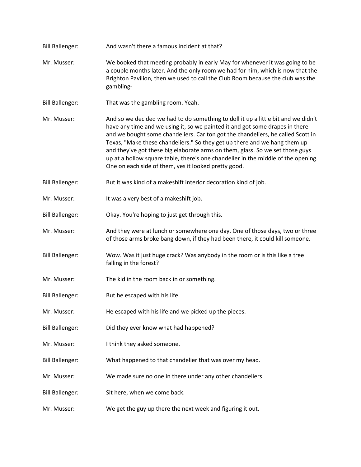Bill Ballenger: And wasn't there a famous incident at that? Mr. Musser: We booked that meeting probably in early May for whenever it was going to be a couple months later. And the only room we had for him, which is now that the Brighton Pavilion, then we used to call the Club Room because the club was the gambling-Bill Ballenger: That was the gambling room. Yeah. Mr. Musser: And so we decided we had to do something to doll it up a little bit and we didn't have any time and we using it, so we painted it and got some drapes in there and we bought some chandeliers. Carlton got the chandeliers, he called Scott in Texas, "Make these chandeliers." So they get up there and we hang them up and they've got these big elaborate arms on them, glass. So we set those guys up at a hollow square table, there's one chandelier in the middle of the opening. One on each side of them, yes it looked pretty good. Bill Ballenger: But it was kind of a makeshift interior decoration kind of job. Mr. Musser: It was a very best of a makeshift job. Bill Ballenger: Okay. You're hoping to just get through this. Mr. Musser: And they were at lunch or somewhere one day. One of those days, two or three of those arms broke bang down, if they had been there, it could kill someone. Bill Ballenger: Wow. Was it just huge crack? Was anybody in the room or is this like a tree falling in the forest? Mr. Musser: The kid in the room back in or something. Bill Ballenger: But he escaped with his life. Mr. Musser: He escaped with his life and we picked up the pieces. Bill Ballenger: Did they ever know what had happened? Mr. Musser: I think they asked someone. Bill Ballenger: What happened to that chandelier that was over my head. Mr. Musser: We made sure no one in there under any other chandeliers. Bill Ballenger: Sit here, when we come back. Mr. Musser: We get the guy up there the next week and figuring it out.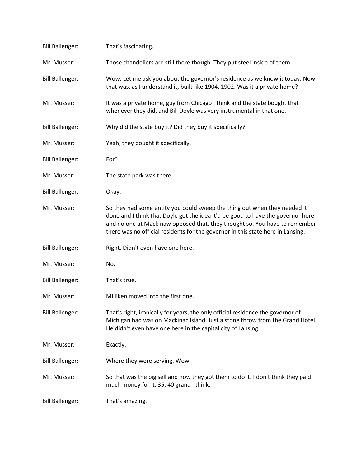| <b>Bill Ballenger:</b> | That's fascinating.                                                                                                                                                                                                                                                                                                           |
|------------------------|-------------------------------------------------------------------------------------------------------------------------------------------------------------------------------------------------------------------------------------------------------------------------------------------------------------------------------|
| Mr. Musser:            | Those chandeliers are still there though. They put steel inside of them.                                                                                                                                                                                                                                                      |
| <b>Bill Ballenger:</b> | Wow. Let me ask you about the governor's residence as we know it today. Now<br>that was, as I understand it, built like 1904, 1902. Was it a private home?                                                                                                                                                                    |
| Mr. Musser:            | It was a private home, guy from Chicago I think and the state bought that<br>whenever they did, and Bill Doyle was very instrumental in that one.                                                                                                                                                                             |
| <b>Bill Ballenger:</b> | Why did the state buy it? Did they buy it specifically?                                                                                                                                                                                                                                                                       |
| Mr. Musser:            | Yeah, they bought it specifically.                                                                                                                                                                                                                                                                                            |
| <b>Bill Ballenger:</b> | For?                                                                                                                                                                                                                                                                                                                          |
| Mr. Musser:            | The state park was there.                                                                                                                                                                                                                                                                                                     |
| <b>Bill Ballenger:</b> | Okay.                                                                                                                                                                                                                                                                                                                         |
| Mr. Musser:            | So they had some entity you could sweep the thing out when they needed it<br>done and I think that Doyle got the idea it'd be good to have the governor here<br>and no one at Mackinaw opposed that, they thought so. You have to remember<br>there was no official residents for the governor in this state here in Lansing. |
| <b>Bill Ballenger:</b> | Right. Didn't even have one here.                                                                                                                                                                                                                                                                                             |
| Mr. Musser:            | No.                                                                                                                                                                                                                                                                                                                           |
| <b>Bill Ballenger:</b> | That's true.                                                                                                                                                                                                                                                                                                                  |
| Mr. Musser:            | Milliken moved into the first one.                                                                                                                                                                                                                                                                                            |
| <b>Bill Ballenger:</b> | That's right, ironically for years, the only official residence the governor of<br>Michigan had was on Mackinac Island. Just a stone throw from the Grand Hotel.<br>He didn't even have one here in the capital city of Lansing.                                                                                              |
| Mr. Musser:            | Exactly.                                                                                                                                                                                                                                                                                                                      |
| <b>Bill Ballenger:</b> | Where they were serving. Wow.                                                                                                                                                                                                                                                                                                 |
| Mr. Musser:            | So that was the big sell and how they got them to do it. I don't think they paid<br>much money for it, 35, 40 grand I think.                                                                                                                                                                                                  |
| <b>Bill Ballenger:</b> | That's amazing.                                                                                                                                                                                                                                                                                                               |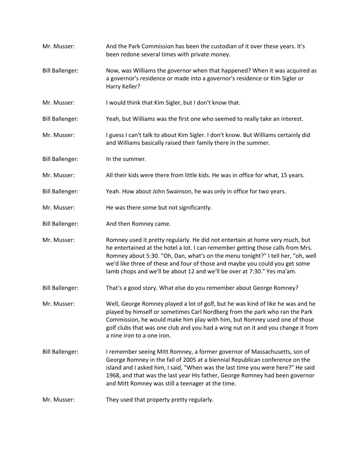Mr. Musser: And the Park Commission has been the custodian of it over these years. It's been redone several times with private money. Bill Ballenger: Now, was Williams the governor when that happened? When it was acquired as a governor's residence or made into a governor's residence or Kim Sigler or Harry Keller? Mr. Musser: I would think that Kim Sigler, but I don't know that. Bill Ballenger: Yeah, but Williams was the first one who seemed to really take an interest. Mr. Musser: I guess I can't talk to about Kim Sigler. I don't know. But Williams certainly did and Williams basically raised their family there in the summer. Bill Ballenger: In the summer. Mr. Musser: All their kids were there from little kids. He was in office for what, 15 years. Bill Ballenger: Yeah. How about John Swainson, he was only in office for two years. Mr. Musser: He was there some but not significantly. Bill Ballenger: And then Romney came. Mr. Musser: Romney used it pretty regularly. He did not entertain at home very much, but he entertained at the hotel a lot. I can remember getting those calls from Mrs. Romney about 5:30. "Oh, Dan, what's on the menu tonight?" I tell her, "oh, well we'd like three of these and four of those and maybe you could you get some lamb chops and we'll be about 12 and we'll be over at 7:30." Yes ma'am. Bill Ballenger: That's a good story. What else do you remember about George Romney? Mr. Musser: Well, George Romney played a lot of golf, but he was kind of like he was and he played by himself or sometimes Carl Nordberg from the park who ran the Park Commission, he would make him play with him, but Romney used one of those golf clubs that was one club and you had a wing nut on it and you change it from a nine iron to a one iron. Bill Ballenger: I remember seeing Mitt Romney, a former governor of Massachusetts, son of George Romney in the fall of 2005 at a biennial Republican conference on the island and I asked him, I said, "When was the last time you were here?" He said 1968, and that was the last year His father, George Romney had been governor and Mitt Romney was still a teenager at the time. Mr. Musser: They used that property pretty regularly.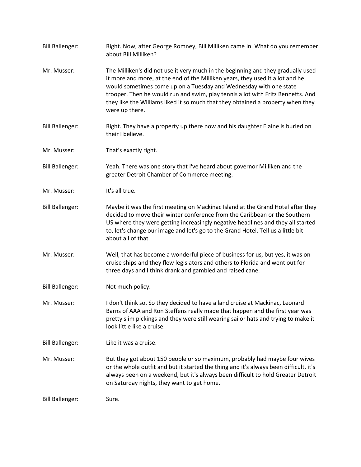| <b>Bill Ballenger:</b> | Right. Now, after George Romney, Bill Milliken came in. What do you remember<br>about Bill Milliken?                                                                                                                                                                                                                                                                                                                           |
|------------------------|--------------------------------------------------------------------------------------------------------------------------------------------------------------------------------------------------------------------------------------------------------------------------------------------------------------------------------------------------------------------------------------------------------------------------------|
| Mr. Musser:            | The Milliken's did not use it very much in the beginning and they gradually used<br>it more and more, at the end of the Milliken years, they used it a lot and he<br>would sometimes come up on a Tuesday and Wednesday with one state<br>trooper. Then he would run and swim, play tennis a lot with Fritz Bennetts. And<br>they like the Williams liked it so much that they obtained a property when they<br>were up there. |
| <b>Bill Ballenger:</b> | Right. They have a property up there now and his daughter Elaine is buried on<br>their I believe.                                                                                                                                                                                                                                                                                                                              |
| Mr. Musser:            | That's exactly right.                                                                                                                                                                                                                                                                                                                                                                                                          |
| <b>Bill Ballenger:</b> | Yeah. There was one story that I've heard about governor Milliken and the<br>greater Detroit Chamber of Commerce meeting.                                                                                                                                                                                                                                                                                                      |
| Mr. Musser:            | It's all true.                                                                                                                                                                                                                                                                                                                                                                                                                 |
| <b>Bill Ballenger:</b> | Maybe it was the first meeting on Mackinac Island at the Grand Hotel after they<br>decided to move their winter conference from the Caribbean or the Southern<br>US where they were getting increasingly negative headlines and they all started<br>to, let's change our image and let's go to the Grand Hotel. Tell us a little bit<br>about all of that.                                                                     |
| Mr. Musser:            | Well, that has become a wonderful piece of business for us, but yes, it was on<br>cruise ships and they flew legislators and others to Florida and went out for<br>three days and I think drank and gambled and raised cane.                                                                                                                                                                                                   |
| <b>Bill Ballenger:</b> | Not much policy.                                                                                                                                                                                                                                                                                                                                                                                                               |
| Mr. Musser:            | I don't think so. So they decided to have a land cruise at Mackinac, Leonard<br>Barns of AAA and Ron Steffens really made that happen and the first year was<br>pretty slim pickings and they were still wearing sailor hats and trying to make it<br>look little like a cruise.                                                                                                                                               |
| <b>Bill Ballenger:</b> | Like it was a cruise.                                                                                                                                                                                                                                                                                                                                                                                                          |
| Mr. Musser:            | But they got about 150 people or so maximum, probably had maybe four wives<br>or the whole outfit and but it started the thing and it's always been difficult, it's<br>always been on a weekend, but it's always been difficult to hold Greater Detroit<br>on Saturday nights, they want to get home.                                                                                                                          |
| <b>Bill Ballenger:</b> | Sure.                                                                                                                                                                                                                                                                                                                                                                                                                          |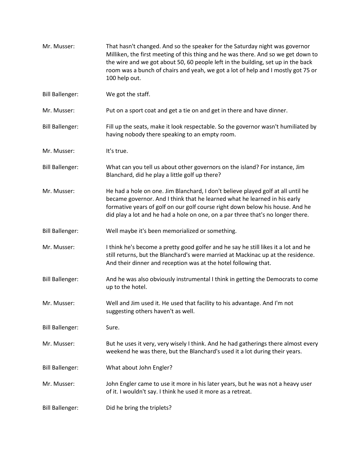| Mr. Musser:            | That hasn't changed. And so the speaker for the Saturday night was governor<br>Milliken, the first meeting of this thing and he was there. And so we get down to<br>the wire and we got about 50, 60 people left in the building, set up in the back<br>room was a bunch of chairs and yeah, we got a lot of help and I mostly got 75 or<br>100 help out. |
|------------------------|-----------------------------------------------------------------------------------------------------------------------------------------------------------------------------------------------------------------------------------------------------------------------------------------------------------------------------------------------------------|
| <b>Bill Ballenger:</b> | We got the staff.                                                                                                                                                                                                                                                                                                                                         |
| Mr. Musser:            | Put on a sport coat and get a tie on and get in there and have dinner.                                                                                                                                                                                                                                                                                    |
| <b>Bill Ballenger:</b> | Fill up the seats, make it look respectable. So the governor wasn't humiliated by<br>having nobody there speaking to an empty room.                                                                                                                                                                                                                       |
| Mr. Musser:            | It's true.                                                                                                                                                                                                                                                                                                                                                |
| <b>Bill Ballenger:</b> | What can you tell us about other governors on the island? For instance, Jim<br>Blanchard, did he play a little golf up there?                                                                                                                                                                                                                             |
| Mr. Musser:            | He had a hole on one. Jim Blanchard, I don't believe played golf at all until he<br>became governor. And I think that he learned what he learned in his early<br>formative years of golf on our golf course right down below his house. And he<br>did play a lot and he had a hole on one, on a par three that's no longer there.                         |
| <b>Bill Ballenger:</b> | Well maybe it's been memorialized or something.                                                                                                                                                                                                                                                                                                           |
| Mr. Musser:            | I think he's become a pretty good golfer and he say he still likes it a lot and he<br>still returns, but the Blanchard's were married at Mackinac up at the residence.<br>And their dinner and reception was at the hotel following that.                                                                                                                 |
| <b>Bill Ballenger:</b> | And he was also obviously instrumental I think in getting the Democrats to come<br>up to the hotel.                                                                                                                                                                                                                                                       |
| Mr. Musser:            | Well and Jim used it. He used that facility to his advantage. And I'm not<br>suggesting others haven't as well.                                                                                                                                                                                                                                           |
| <b>Bill Ballenger:</b> | Sure.                                                                                                                                                                                                                                                                                                                                                     |
| Mr. Musser:            | But he uses it very, very wisely I think. And he had gatherings there almost every<br>weekend he was there, but the Blanchard's used it a lot during their years.                                                                                                                                                                                         |
| <b>Bill Ballenger:</b> | What about John Engler?                                                                                                                                                                                                                                                                                                                                   |
| Mr. Musser:            | John Engler came to use it more in his later years, but he was not a heavy user<br>of it. I wouldn't say. I think he used it more as a retreat.                                                                                                                                                                                                           |
| <b>Bill Ballenger:</b> | Did he bring the triplets?                                                                                                                                                                                                                                                                                                                                |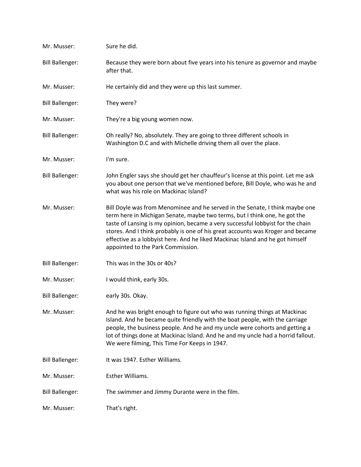| Mr. Musser:            | Sure he did.                                                                                                                                                                                                                                                                                                                                                                                                                                           |
|------------------------|--------------------------------------------------------------------------------------------------------------------------------------------------------------------------------------------------------------------------------------------------------------------------------------------------------------------------------------------------------------------------------------------------------------------------------------------------------|
| <b>Bill Ballenger:</b> | Because they were born about five years into his tenure as governor and maybe<br>after that.                                                                                                                                                                                                                                                                                                                                                           |
| Mr. Musser:            | He certainly did and they were up this last summer.                                                                                                                                                                                                                                                                                                                                                                                                    |
| <b>Bill Ballenger:</b> | They were?                                                                                                                                                                                                                                                                                                                                                                                                                                             |
| Mr. Musser:            | They're a big young women now.                                                                                                                                                                                                                                                                                                                                                                                                                         |
| <b>Bill Ballenger:</b> | Oh really? No, absolutely. They are going to three different schools in<br>Washington D.C and with Michelle driving them all over the place.                                                                                                                                                                                                                                                                                                           |
| Mr. Musser:            | I'm sure.                                                                                                                                                                                                                                                                                                                                                                                                                                              |
| <b>Bill Ballenger:</b> | John Engler says she should get her chauffeur's license at this point. Let me ask<br>you about one person that we've mentioned before, Bill Doyle, who was he and<br>what was his role on Mackinac Island?                                                                                                                                                                                                                                             |
| Mr. Musser:            | Bill Doyle was from Menominee and he served in the Senate, I think maybe one<br>term here in Michigan Senate, maybe two terms, but I think one, he got the<br>taste of Lansing is my opinion, became a very successful lobbyist for the chain<br>stores. And I think probably is one of his great accounts was Kroger and became<br>effective as a lobbyist here. And he liked Mackinac Island and he got himself<br>appointed to the Park Commission. |
| <b>Bill Ballenger:</b> | This was in the 30s or 40s?                                                                                                                                                                                                                                                                                                                                                                                                                            |
| Mr. Musser:            | I would think, early 30s.                                                                                                                                                                                                                                                                                                                                                                                                                              |
| <b>Bill Ballenger:</b> | early 30s. Okay.                                                                                                                                                                                                                                                                                                                                                                                                                                       |
| Mr. Musser:            | And he was bright enough to figure out who was running things at Mackinac<br>Island. And he became quite friendly with the boat people, with the carriage<br>people, the business people. And he and my uncle were cohorts and getting a<br>lot of things done at Mackinac Island. And he and my uncle had a horrid fallout.<br>We were filming, This Time For Keeps in 1947.                                                                          |
| <b>Bill Ballenger:</b> | It was 1947. Esther Williams.                                                                                                                                                                                                                                                                                                                                                                                                                          |
| Mr. Musser:            | Esther Williams.                                                                                                                                                                                                                                                                                                                                                                                                                                       |
| <b>Bill Ballenger:</b> | The swimmer and Jimmy Durante were in the film.                                                                                                                                                                                                                                                                                                                                                                                                        |
| Mr. Musser:            | That's right.                                                                                                                                                                                                                                                                                                                                                                                                                                          |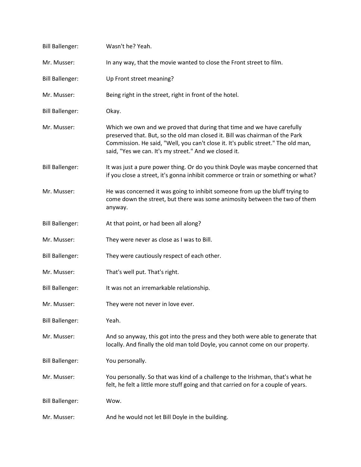| <b>Bill Ballenger:</b> | Wasn't he? Yeah.                                                                                                                                                                                                                                                                                     |
|------------------------|------------------------------------------------------------------------------------------------------------------------------------------------------------------------------------------------------------------------------------------------------------------------------------------------------|
| Mr. Musser:            | In any way, that the movie wanted to close the Front street to film.                                                                                                                                                                                                                                 |
| <b>Bill Ballenger:</b> | Up Front street meaning?                                                                                                                                                                                                                                                                             |
| Mr. Musser:            | Being right in the street, right in front of the hotel.                                                                                                                                                                                                                                              |
| <b>Bill Ballenger:</b> | Okay.                                                                                                                                                                                                                                                                                                |
| Mr. Musser:            | Which we own and we proved that during that time and we have carefully<br>preserved that. But, so the old man closed it. Bill was chairman of the Park<br>Commission. He said, "Well, you can't close it. It's public street." The old man,<br>said, "Yes we can. It's my street." And we closed it. |
| <b>Bill Ballenger:</b> | It was just a pure power thing. Or do you think Doyle was maybe concerned that<br>if you close a street, it's gonna inhibit commerce or train or something or what?                                                                                                                                  |
| Mr. Musser:            | He was concerned it was going to inhibit someone from up the bluff trying to<br>come down the street, but there was some animosity between the two of them<br>anyway.                                                                                                                                |
| <b>Bill Ballenger:</b> | At that point, or had been all along?                                                                                                                                                                                                                                                                |
| Mr. Musser:            | They were never as close as I was to Bill.                                                                                                                                                                                                                                                           |
| <b>Bill Ballenger:</b> | They were cautiously respect of each other.                                                                                                                                                                                                                                                          |
| Mr. Musser:            | That's well put. That's right.                                                                                                                                                                                                                                                                       |
| <b>Bill Ballenger:</b> | It was not an irremarkable relationship.                                                                                                                                                                                                                                                             |
| Mr. Musser:            | They were not never in love ever.                                                                                                                                                                                                                                                                    |
| <b>Bill Ballenger:</b> | Yeah.                                                                                                                                                                                                                                                                                                |
| Mr. Musser:            | And so anyway, this got into the press and they both were able to generate that<br>locally. And finally the old man told Doyle, you cannot come on our property.                                                                                                                                     |
| <b>Bill Ballenger:</b> | You personally.                                                                                                                                                                                                                                                                                      |
| Mr. Musser:            | You personally. So that was kind of a challenge to the Irishman, that's what he<br>felt, he felt a little more stuff going and that carried on for a couple of years.                                                                                                                                |
| <b>Bill Ballenger:</b> | Wow.                                                                                                                                                                                                                                                                                                 |
| Mr. Musser:            | And he would not let Bill Doyle in the building.                                                                                                                                                                                                                                                     |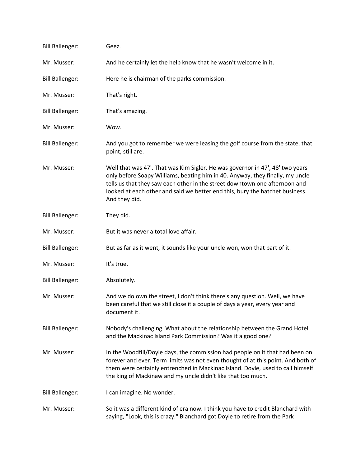| <b>Bill Ballenger:</b> | Geez.                                                                                                                                                                                                                                                                                                                                         |
|------------------------|-----------------------------------------------------------------------------------------------------------------------------------------------------------------------------------------------------------------------------------------------------------------------------------------------------------------------------------------------|
| Mr. Musser:            | And he certainly let the help know that he wasn't welcome in it.                                                                                                                                                                                                                                                                              |
| <b>Bill Ballenger:</b> | Here he is chairman of the parks commission.                                                                                                                                                                                                                                                                                                  |
| Mr. Musser:            | That's right.                                                                                                                                                                                                                                                                                                                                 |
| <b>Bill Ballenger:</b> | That's amazing.                                                                                                                                                                                                                                                                                                                               |
| Mr. Musser:            | Wow.                                                                                                                                                                                                                                                                                                                                          |
| <b>Bill Ballenger:</b> | And you got to remember we were leasing the golf course from the state, that<br>point, still are.                                                                                                                                                                                                                                             |
| Mr. Musser:            | Well that was 47'. That was Kim Sigler. He was governor in 47', 48' two years<br>only before Soapy Williams, beating him in 40. Anyway, they finally, my uncle<br>tells us that they saw each other in the street downtown one afternoon and<br>looked at each other and said we better end this, bury the hatchet business.<br>And they did. |
| <b>Bill Ballenger:</b> | They did.                                                                                                                                                                                                                                                                                                                                     |
| Mr. Musser:            | But it was never a total love affair.                                                                                                                                                                                                                                                                                                         |
| <b>Bill Ballenger:</b> | But as far as it went, it sounds like your uncle won, won that part of it.                                                                                                                                                                                                                                                                    |
| Mr. Musser:            | It's true.                                                                                                                                                                                                                                                                                                                                    |
| <b>Bill Ballenger:</b> | Absolutely.                                                                                                                                                                                                                                                                                                                                   |
| Mr. Musser:            | And we do own the street, I don't think there's any question. Well, we have<br>been careful that we still close it a couple of days a year, every year and<br>document it.                                                                                                                                                                    |
| <b>Bill Ballenger:</b> | Nobody's challenging. What about the relationship between the Grand Hotel<br>and the Mackinac Island Park Commission? Was it a good one?                                                                                                                                                                                                      |
| Mr. Musser:            | In the Woodfill/Doyle days, the commission had people on it that had been on<br>forever and ever. Term limits was not even thought of at this point. And both of<br>them were certainly entrenched in Mackinac Island. Doyle, used to call himself<br>the king of Mackinaw and my uncle didn't like that too much.                            |
| <b>Bill Ballenger:</b> | I can imagine. No wonder.                                                                                                                                                                                                                                                                                                                     |
| Mr. Musser:            | So it was a different kind of era now. I think you have to credit Blanchard with<br>saying, "Look, this is crazy." Blanchard got Doyle to retire from the Park                                                                                                                                                                                |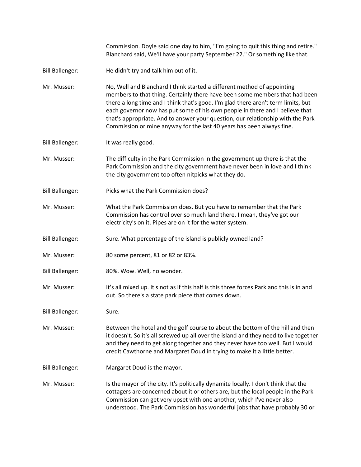Commission. Doyle said one day to him, "I'm going to quit this thing and retire." Blanchard said, We'll have your party September 22." Or something like that.

- Bill Ballenger: He didn't try and talk him out of it.
- Mr. Musser: No, Well and Blanchard I think started a different method of appointing members to that thing. Certainly there have been some members that had been there a long time and I think that's good. I'm glad there aren't term limits, but each governor now has put some of his own people in there and I believe that that's appropriate. And to answer your question, our relationship with the Park Commission or mine anyway for the last 40 years has been always fine.
- Bill Ballenger: It was really good.
- Mr. Musser: The difficulty in the Park Commission in the government up there is that the Park Commission and the city government have never been in love and I think the city government too often nitpicks what they do.
- Bill Ballenger: Picks what the Park Commission does?
- Mr. Musser: What the Park Commission does. But you have to remember that the Park Commission has control over so much land there. I mean, they've got our electricity's on it. Pipes are on it for the water system.
- Bill Ballenger: Sure. What percentage of the island is publicly owned land?
- Mr. Musser: 80 some percent, 81 or 82 or 83%.
- Bill Ballenger: 80%. Wow. Well, no wonder.
- Mr. Musser: It's all mixed up. It's not as if this half is this three forces Park and this is in and out. So there's a state park piece that comes down.
- Bill Ballenger: Sure.
- Mr. Musser: Between the hotel and the golf course to about the bottom of the hill and then it doesn't. So it's all screwed up all over the island and they need to live together and they need to get along together and they never have too well. But I would credit Cawthorne and Margaret Doud in trying to make it a little better.
- Bill Ballenger: Margaret Doud is the mayor.
- Mr. Musser: Is the mayor of the city. It's politically dynamite locally. I don't think that the cottagers are concerned about it or others are, but the local people in the Park Commission can get very upset with one another, which I've never also understood. The Park Commission has wonderful jobs that have probably 30 or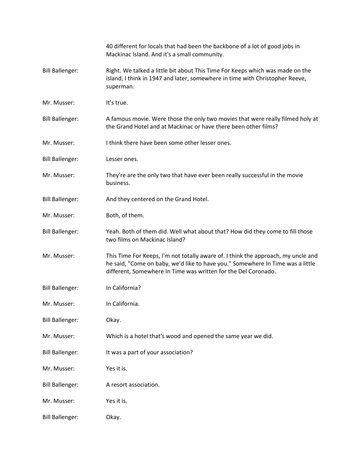|                        | 40 different for locals that had been the backbone of a lot of good jobs in<br>Mackinac Island. And it's a small community.                                                                                                           |
|------------------------|---------------------------------------------------------------------------------------------------------------------------------------------------------------------------------------------------------------------------------------|
| <b>Bill Ballenger:</b> | Right. We talked a little bit about This Time For Keeps which was made on the<br>island, I think in 1947 and later, somewhere in time with Christopher Reeve,<br>superman.                                                            |
| Mr. Musser:            | It's true.                                                                                                                                                                                                                            |
| <b>Bill Ballenger:</b> | A famous movie. Were those the only two movies that were really filmed holy at<br>the Grand Hotel and at Mackinac or have there been other films?                                                                                     |
| Mr. Musser:            | I think there have been some other lesser ones.                                                                                                                                                                                       |
| <b>Bill Ballenger:</b> | Lesser ones.                                                                                                                                                                                                                          |
| Mr. Musser:            | They're are the only two that have ever been really successful in the movie<br>business.                                                                                                                                              |
| <b>Bill Ballenger:</b> | And they centered on the Grand Hotel.                                                                                                                                                                                                 |
| Mr. Musser:            | Both, of them.                                                                                                                                                                                                                        |
| <b>Bill Ballenger:</b> | Yeah. Both of them did. Well what about that? How did they come to fill those<br>two films on Mackinac Island?                                                                                                                        |
| Mr. Musser:            | This Time For Keeps, I'm not totally aware of. I think the approach, my uncle and<br>he said, "Come on baby, we'd like to have you." Somewhere In Time was a little<br>different, Somewhere In Time was written for the Del Coronado. |
| <b>Bill Ballenger:</b> | In California?                                                                                                                                                                                                                        |
| Mr. Musser:            | In California.                                                                                                                                                                                                                        |
| <b>Bill Ballenger:</b> | Okay.                                                                                                                                                                                                                                 |
| Mr. Musser:            | Which is a hotel that's wood and opened the same year we did.                                                                                                                                                                         |
| <b>Bill Ballenger:</b> | It was a part of your association?                                                                                                                                                                                                    |
| Mr. Musser:            | Yes it is.                                                                                                                                                                                                                            |
| <b>Bill Ballenger:</b> | A resort association.                                                                                                                                                                                                                 |
| Mr. Musser:            | Yes it is.                                                                                                                                                                                                                            |
| <b>Bill Ballenger:</b> | Okay.                                                                                                                                                                                                                                 |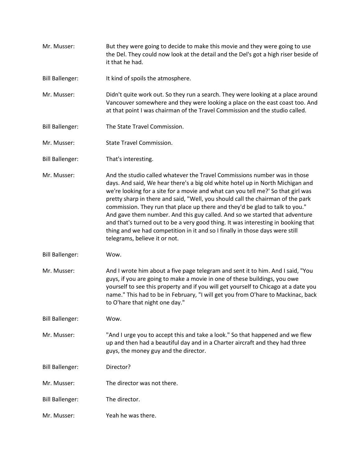- Mr. Musser: But they were going to decide to make this movie and they were going to use the Del. They could now look at the detail and the Del's got a high riser beside of it that he had.
- Bill Ballenger: It kind of spoils the atmosphere.
- Mr. Musser: Didn't quite work out. So they run a search. They were looking at a place around Vancouver somewhere and they were looking a place on the east coast too. And at that point I was chairman of the Travel Commission and the studio called.
- Bill Ballenger: The State Travel Commission.
- Mr. Musser: State Travel Commission.
- Bill Ballenger: That's interesting.
- Mr. Musser: And the studio called whatever the Travel Commissions number was in those days. And said, We hear there's a big old white hotel up in North Michigan and we're looking for a site for a movie and what can you tell me?' So that girl was pretty sharp in there and said, "Well, you should call the chairman of the park commission. They run that place up there and they'd be glad to talk to you." And gave them number. And this guy called. And so we started that adventure and that's turned out to be a very good thing. It was interesting in booking that thing and we had competition in it and so I finally in those days were still telegrams, believe it or not.
- Bill Ballenger: Wow.
- Mr. Musser: And I wrote him about a five page telegram and sent it to him. And I said, "You guys, if you are going to make a movie in one of these buildings, you owe yourself to see this property and if you will get yourself to Chicago at a date you name." This had to be in February, "I will get you from O'hare to Mackinac, back to O'hare that night one day."
- Bill Ballenger: Wow.
- Mr. Musser: "And I urge you to accept this and take a look." So that happened and we flew up and then had a beautiful day and in a Charter aircraft and they had three guys, the money guy and the director.
- Bill Ballenger: Director?
- Mr. Musser: The director was not there.
- Bill Ballenger: The director.
- Mr. Musser: Yeah he was there.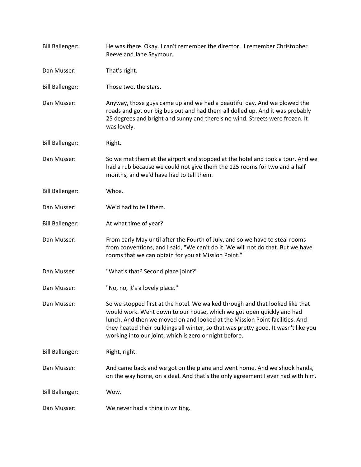| <b>Bill Ballenger:</b> | He was there. Okay. I can't remember the director. I remember Christopher<br>Reeve and Jane Seymour.                                                                                                                                                                                                                                                                                   |
|------------------------|----------------------------------------------------------------------------------------------------------------------------------------------------------------------------------------------------------------------------------------------------------------------------------------------------------------------------------------------------------------------------------------|
| Dan Musser:            | That's right.                                                                                                                                                                                                                                                                                                                                                                          |
| <b>Bill Ballenger:</b> | Those two, the stars.                                                                                                                                                                                                                                                                                                                                                                  |
| Dan Musser:            | Anyway, those guys came up and we had a beautiful day. And we plowed the<br>roads and got our big bus out and had them all dolled up. And it was probably<br>25 degrees and bright and sunny and there's no wind. Streets were frozen. It<br>was lovely.                                                                                                                               |
| <b>Bill Ballenger:</b> | Right.                                                                                                                                                                                                                                                                                                                                                                                 |
| Dan Musser:            | So we met them at the airport and stopped at the hotel and took a tour. And we<br>had a rub because we could not give them the 125 rooms for two and a half<br>months, and we'd have had to tell them.                                                                                                                                                                                 |
| <b>Bill Ballenger:</b> | Whoa.                                                                                                                                                                                                                                                                                                                                                                                  |
| Dan Musser:            | We'd had to tell them.                                                                                                                                                                                                                                                                                                                                                                 |
| <b>Bill Ballenger:</b> | At what time of year?                                                                                                                                                                                                                                                                                                                                                                  |
| Dan Musser:            | From early May until after the Fourth of July, and so we have to steal rooms<br>from conventions, and I said, "We can't do it. We will not do that. But we have<br>rooms that we can obtain for you at Mission Point."                                                                                                                                                                 |
| Dan Musser:            | "What's that? Second place joint?"                                                                                                                                                                                                                                                                                                                                                     |
| Dan Musser:            | "No, no, it's a lovely place."                                                                                                                                                                                                                                                                                                                                                         |
| Dan Musser:            | So we stopped first at the hotel. We walked through and that looked like that<br>would work. Went down to our house, which we got open quickly and had<br>lunch. And then we moved on and looked at the Mission Point facilities. And<br>they heated their buildings all winter, so that was pretty good. It wasn't like you<br>working into our joint, which is zero or night before. |
| <b>Bill Ballenger:</b> | Right, right.                                                                                                                                                                                                                                                                                                                                                                          |
| Dan Musser:            | And came back and we got on the plane and went home. And we shook hands,<br>on the way home, on a deal. And that's the only agreement I ever had with him.                                                                                                                                                                                                                             |
| <b>Bill Ballenger:</b> | Wow.                                                                                                                                                                                                                                                                                                                                                                                   |
| Dan Musser:            | We never had a thing in writing.                                                                                                                                                                                                                                                                                                                                                       |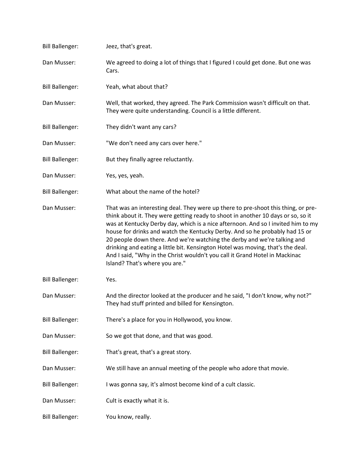| <b>Bill Ballenger:</b> | Jeez, that's great.                                                                                                                                                                                                                                                                                                                                                                                                                                                                                                                                                                                                      |
|------------------------|--------------------------------------------------------------------------------------------------------------------------------------------------------------------------------------------------------------------------------------------------------------------------------------------------------------------------------------------------------------------------------------------------------------------------------------------------------------------------------------------------------------------------------------------------------------------------------------------------------------------------|
| Dan Musser:            | We agreed to doing a lot of things that I figured I could get done. But one was<br>Cars.                                                                                                                                                                                                                                                                                                                                                                                                                                                                                                                                 |
| <b>Bill Ballenger:</b> | Yeah, what about that?                                                                                                                                                                                                                                                                                                                                                                                                                                                                                                                                                                                                   |
| Dan Musser:            | Well, that worked, they agreed. The Park Commission wasn't difficult on that.<br>They were quite understanding. Council is a little different.                                                                                                                                                                                                                                                                                                                                                                                                                                                                           |
| <b>Bill Ballenger:</b> | They didn't want any cars?                                                                                                                                                                                                                                                                                                                                                                                                                                                                                                                                                                                               |
| Dan Musser:            | "We don't need any cars over here."                                                                                                                                                                                                                                                                                                                                                                                                                                                                                                                                                                                      |
| <b>Bill Ballenger:</b> | But they finally agree reluctantly.                                                                                                                                                                                                                                                                                                                                                                                                                                                                                                                                                                                      |
| Dan Musser:            | Yes, yes, yeah.                                                                                                                                                                                                                                                                                                                                                                                                                                                                                                                                                                                                          |
| <b>Bill Ballenger:</b> | What about the name of the hotel?                                                                                                                                                                                                                                                                                                                                                                                                                                                                                                                                                                                        |
| Dan Musser:            | That was an interesting deal. They were up there to pre-shoot this thing, or pre-<br>think about it. They were getting ready to shoot in another 10 days or so, so it<br>was at Kentucky Derby day, which is a nice afternoon. And so I invited him to my<br>house for drinks and watch the Kentucky Derby. And so he probably had 15 or<br>20 people down there. And we're watching the derby and we're talking and<br>drinking and eating a little bit. Kensington Hotel was moving, that's the deal.<br>And I said, "Why in the Christ wouldn't you call it Grand Hotel in Mackinac<br>Island? That's where you are." |
| <b>Bill Ballenger:</b> | Yes.                                                                                                                                                                                                                                                                                                                                                                                                                                                                                                                                                                                                                     |
| Dan Musser:            | And the director looked at the producer and he said, "I don't know, why not?"<br>They had stuff printed and billed for Kensington.                                                                                                                                                                                                                                                                                                                                                                                                                                                                                       |
| <b>Bill Ballenger:</b> | There's a place for you in Hollywood, you know.                                                                                                                                                                                                                                                                                                                                                                                                                                                                                                                                                                          |
| Dan Musser:            | So we got that done, and that was good.                                                                                                                                                                                                                                                                                                                                                                                                                                                                                                                                                                                  |
| <b>Bill Ballenger:</b> | That's great, that's a great story.                                                                                                                                                                                                                                                                                                                                                                                                                                                                                                                                                                                      |
| Dan Musser:            | We still have an annual meeting of the people who adore that movie.                                                                                                                                                                                                                                                                                                                                                                                                                                                                                                                                                      |
| <b>Bill Ballenger:</b> | I was gonna say, it's almost become kind of a cult classic.                                                                                                                                                                                                                                                                                                                                                                                                                                                                                                                                                              |
| Dan Musser:            | Cult is exactly what it is.                                                                                                                                                                                                                                                                                                                                                                                                                                                                                                                                                                                              |
| <b>Bill Ballenger:</b> | You know, really.                                                                                                                                                                                                                                                                                                                                                                                                                                                                                                                                                                                                        |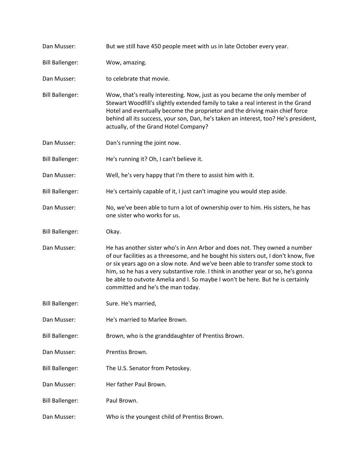| Dan Musser:            | But we still have 450 people meet with us in late October every year.                                                                                                                                                                                                                                                                                                                                                                                           |
|------------------------|-----------------------------------------------------------------------------------------------------------------------------------------------------------------------------------------------------------------------------------------------------------------------------------------------------------------------------------------------------------------------------------------------------------------------------------------------------------------|
| <b>Bill Ballenger:</b> | Wow, amazing.                                                                                                                                                                                                                                                                                                                                                                                                                                                   |
| Dan Musser:            | to celebrate that movie.                                                                                                                                                                                                                                                                                                                                                                                                                                        |
| <b>Bill Ballenger:</b> | Wow, that's really interesting. Now, just as you became the only member of<br>Stewart Woodfill's slightly extended family to take a real interest in the Grand<br>Hotel and eventually become the proprietor and the driving main chief force<br>behind all its success, your son, Dan, he's taken an interest, too? He's president,<br>actually, of the Grand Hotel Company?                                                                                   |
| Dan Musser:            | Dan's running the joint now.                                                                                                                                                                                                                                                                                                                                                                                                                                    |
| <b>Bill Ballenger:</b> | He's running it? Oh, I can't believe it.                                                                                                                                                                                                                                                                                                                                                                                                                        |
| Dan Musser:            | Well, he's very happy that I'm there to assist him with it.                                                                                                                                                                                                                                                                                                                                                                                                     |
| <b>Bill Ballenger:</b> | He's certainly capable of it, I just can't imagine you would step aside.                                                                                                                                                                                                                                                                                                                                                                                        |
| Dan Musser:            | No, we've been able to turn a lot of ownership over to him. His sisters, he has<br>one sister who works for us.                                                                                                                                                                                                                                                                                                                                                 |
| <b>Bill Ballenger:</b> | Okay.                                                                                                                                                                                                                                                                                                                                                                                                                                                           |
| Dan Musser:            | He has another sister who's in Ann Arbor and does not. They owned a number<br>of our facilities as a threesome, and he bought his sisters out, I don't know, five<br>or six years ago on a slow note. And we've been able to transfer some stock to<br>him, so he has a very substantive role. I think in another year or so, he's gonna<br>be able to outvote Amelia and I. So maybe I won't be here. But he is certainly<br>committed and he's the man today. |
| <b>Bill Ballenger:</b> | Sure. He's married,                                                                                                                                                                                                                                                                                                                                                                                                                                             |
| Dan Musser:            | He's married to Marlee Brown.                                                                                                                                                                                                                                                                                                                                                                                                                                   |
| <b>Bill Ballenger:</b> | Brown, who is the granddaughter of Prentiss Brown.                                                                                                                                                                                                                                                                                                                                                                                                              |
| Dan Musser:            | Prentiss Brown.                                                                                                                                                                                                                                                                                                                                                                                                                                                 |
| <b>Bill Ballenger:</b> | The U.S. Senator from Petoskey.                                                                                                                                                                                                                                                                                                                                                                                                                                 |
| Dan Musser:            | Her father Paul Brown.                                                                                                                                                                                                                                                                                                                                                                                                                                          |
| <b>Bill Ballenger:</b> | Paul Brown.                                                                                                                                                                                                                                                                                                                                                                                                                                                     |
| Dan Musser:            | Who is the youngest child of Prentiss Brown.                                                                                                                                                                                                                                                                                                                                                                                                                    |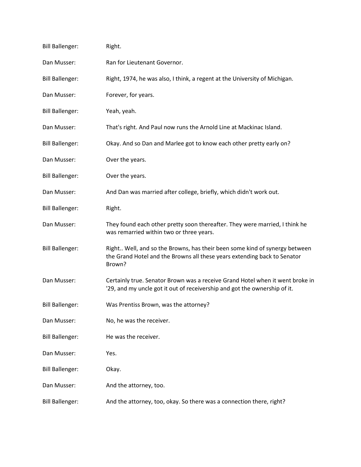| <b>Bill Ballenger:</b> | Right.                                                                                                                                                           |
|------------------------|------------------------------------------------------------------------------------------------------------------------------------------------------------------|
| Dan Musser:            | Ran for Lieutenant Governor.                                                                                                                                     |
| <b>Bill Ballenger:</b> | Right, 1974, he was also, I think, a regent at the University of Michigan.                                                                                       |
| Dan Musser:            | Forever, for years.                                                                                                                                              |
| <b>Bill Ballenger:</b> | Yeah, yeah.                                                                                                                                                      |
| Dan Musser:            | That's right. And Paul now runs the Arnold Line at Mackinac Island.                                                                                              |
| <b>Bill Ballenger:</b> | Okay. And so Dan and Marlee got to know each other pretty early on?                                                                                              |
| Dan Musser:            | Over the years.                                                                                                                                                  |
| <b>Bill Ballenger:</b> | Over the years.                                                                                                                                                  |
| Dan Musser:            | And Dan was married after college, briefly, which didn't work out.                                                                                               |
| <b>Bill Ballenger:</b> | Right.                                                                                                                                                           |
| Dan Musser:            | They found each other pretty soon thereafter. They were married, I think he<br>was remarried within two or three years.                                          |
| <b>Bill Ballenger:</b> | Right Well, and so the Browns, has their been some kind of synergy between<br>the Grand Hotel and the Browns all these years extending back to Senator<br>Brown? |
| Dan Musser:            | Certainly true. Senator Brown was a receive Grand Hotel when it went broke in<br>'29, and my uncle got it out of receivership and got the ownership of it.       |
| <b>Bill Ballenger:</b> | Was Prentiss Brown, was the attorney?                                                                                                                            |
| Dan Musser:            | No, he was the receiver.                                                                                                                                         |
| <b>Bill Ballenger:</b> | He was the receiver.                                                                                                                                             |
| Dan Musser:            | Yes.                                                                                                                                                             |
| <b>Bill Ballenger:</b> | Okay.                                                                                                                                                            |
| Dan Musser:            | And the attorney, too.                                                                                                                                           |
| <b>Bill Ballenger:</b> | And the attorney, too, okay. So there was a connection there, right?                                                                                             |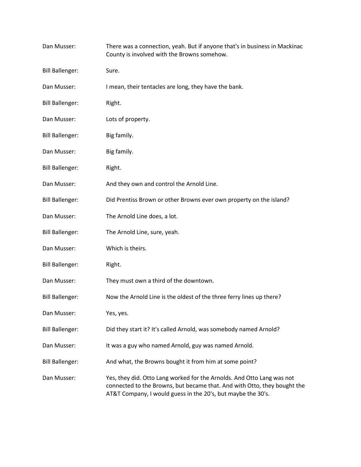| Dan Musser:            | There was a connection, yeah. But if anyone that's in business in Mackinac<br>County is involved with the Browns somehow.                                                                                          |
|------------------------|--------------------------------------------------------------------------------------------------------------------------------------------------------------------------------------------------------------------|
| <b>Bill Ballenger:</b> | Sure.                                                                                                                                                                                                              |
| Dan Musser:            | I mean, their tentacles are long, they have the bank.                                                                                                                                                              |
| <b>Bill Ballenger:</b> | Right.                                                                                                                                                                                                             |
| Dan Musser:            | Lots of property.                                                                                                                                                                                                  |
| <b>Bill Ballenger:</b> | Big family.                                                                                                                                                                                                        |
| Dan Musser:            | Big family.                                                                                                                                                                                                        |
| <b>Bill Ballenger:</b> | Right.                                                                                                                                                                                                             |
| Dan Musser:            | And they own and control the Arnold Line.                                                                                                                                                                          |
| <b>Bill Ballenger:</b> | Did Prentiss Brown or other Browns ever own property on the island?                                                                                                                                                |
| Dan Musser:            | The Arnold Line does, a lot.                                                                                                                                                                                       |
| <b>Bill Ballenger:</b> | The Arnold Line, sure, yeah.                                                                                                                                                                                       |
| Dan Musser:            | Which is theirs.                                                                                                                                                                                                   |
| <b>Bill Ballenger:</b> | Right.                                                                                                                                                                                                             |
| Dan Musser:            | They must own a third of the downtown.                                                                                                                                                                             |
| <b>Bill Ballenger:</b> | Now the Arnold Line is the oldest of the three ferry lines up there?                                                                                                                                               |
| Dan Musser:            | Yes, yes.                                                                                                                                                                                                          |
| <b>Bill Ballenger:</b> | Did they start it? It's called Arnold, was somebody named Arnold?                                                                                                                                                  |
| Dan Musser:            | It was a guy who named Arnold, guy was named Arnold.                                                                                                                                                               |
| <b>Bill Ballenger:</b> | And what, the Browns bought it from him at some point?                                                                                                                                                             |
| Dan Musser:            | Yes, they did. Otto Lang worked for the Arnolds. And Otto Lang was not<br>connected to the Browns, but became that. And with Otto, they bought the<br>AT&T Company, I would guess in the 20's, but maybe the 30's. |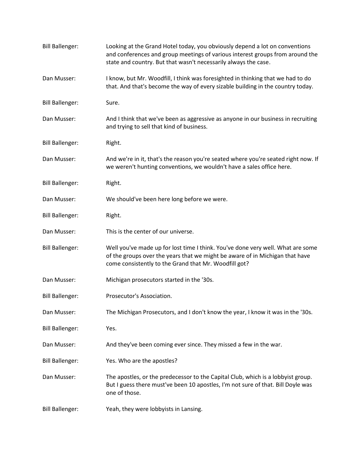| <b>Bill Ballenger:</b> | Looking at the Grand Hotel today, you obviously depend a lot on conventions<br>and conferences and group meetings of various interest groups from around the<br>state and country. But that wasn't necessarily always the case. |
|------------------------|---------------------------------------------------------------------------------------------------------------------------------------------------------------------------------------------------------------------------------|
| Dan Musser:            | I know, but Mr. Woodfill, I think was foresighted in thinking that we had to do<br>that. And that's become the way of every sizable building in the country today.                                                              |
| <b>Bill Ballenger:</b> | Sure.                                                                                                                                                                                                                           |
| Dan Musser:            | And I think that we've been as aggressive as anyone in our business in recruiting<br>and trying to sell that kind of business.                                                                                                  |
| <b>Bill Ballenger:</b> | Right.                                                                                                                                                                                                                          |
| Dan Musser:            | And we're in it, that's the reason you're seated where you're seated right now. If<br>we weren't hunting conventions, we wouldn't have a sales office here.                                                                     |
| <b>Bill Ballenger:</b> | Right.                                                                                                                                                                                                                          |
| Dan Musser:            | We should've been here long before we were.                                                                                                                                                                                     |
| <b>Bill Ballenger:</b> | Right.                                                                                                                                                                                                                          |
| Dan Musser:            | This is the center of our universe.                                                                                                                                                                                             |
| <b>Bill Ballenger:</b> | Well you've made up for lost time I think. You've done very well. What are some<br>of the groups over the years that we might be aware of in Michigan that have<br>come consistently to the Grand that Mr. Woodfill got?        |
| Dan Musser:            | Michigan prosecutors started in the '30s.                                                                                                                                                                                       |
| <b>Bill Ballenger:</b> | Prosecutor's Association.                                                                                                                                                                                                       |
| Dan Musser:            | The Michigan Prosecutors, and I don't know the year, I know it was in the '30s.                                                                                                                                                 |
| <b>Bill Ballenger:</b> | Yes.                                                                                                                                                                                                                            |
| Dan Musser:            | And they've been coming ever since. They missed a few in the war.                                                                                                                                                               |
| <b>Bill Ballenger:</b> | Yes. Who are the apostles?                                                                                                                                                                                                      |
| Dan Musser:            | The apostles, or the predecessor to the Capital Club, which is a lobbyist group.<br>But I guess there must've been 10 apostles, I'm not sure of that. Bill Doyle was<br>one of those.                                           |
| <b>Bill Ballenger:</b> | Yeah, they were lobbyists in Lansing.                                                                                                                                                                                           |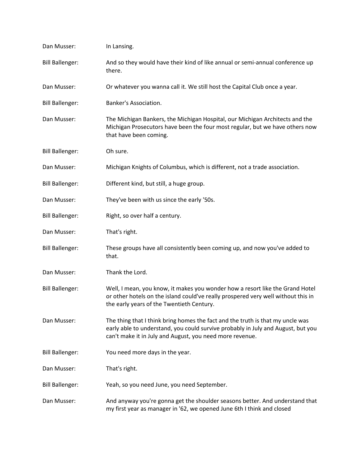| Dan Musser:            | In Lansing.                                                                                                                                                                                                                    |
|------------------------|--------------------------------------------------------------------------------------------------------------------------------------------------------------------------------------------------------------------------------|
| <b>Bill Ballenger:</b> | And so they would have their kind of like annual or semi-annual conference up<br>there.                                                                                                                                        |
| Dan Musser:            | Or whatever you wanna call it. We still host the Capital Club once a year.                                                                                                                                                     |
| <b>Bill Ballenger:</b> | Banker's Association.                                                                                                                                                                                                          |
| Dan Musser:            | The Michigan Bankers, the Michigan Hospital, our Michigan Architects and the<br>Michigan Prosecutors have been the four most regular, but we have others now<br>that have been coming.                                         |
| <b>Bill Ballenger:</b> | Oh sure.                                                                                                                                                                                                                       |
| Dan Musser:            | Michigan Knights of Columbus, which is different, not a trade association.                                                                                                                                                     |
| <b>Bill Ballenger:</b> | Different kind, but still, a huge group.                                                                                                                                                                                       |
| Dan Musser:            | They've been with us since the early '50s.                                                                                                                                                                                     |
| <b>Bill Ballenger:</b> | Right, so over half a century.                                                                                                                                                                                                 |
| Dan Musser:            | That's right.                                                                                                                                                                                                                  |
| <b>Bill Ballenger:</b> | These groups have all consistently been coming up, and now you've added to<br>that.                                                                                                                                            |
| Dan Musser:            | Thank the Lord.                                                                                                                                                                                                                |
| <b>Bill Ballenger:</b> | Well, I mean, you know, it makes you wonder how a resort like the Grand Hotel<br>or other hotels on the island could've really prospered very well without this in<br>the early years of the Twentieth Century.                |
| Dan Musser:            | The thing that I think bring homes the fact and the truth is that my uncle was<br>early able to understand, you could survive probably in July and August, but you<br>can't make it in July and August, you need more revenue. |
| <b>Bill Ballenger:</b> | You need more days in the year.                                                                                                                                                                                                |
| Dan Musser:            | That's right.                                                                                                                                                                                                                  |
| <b>Bill Ballenger:</b> | Yeah, so you need June, you need September.                                                                                                                                                                                    |
| Dan Musser:            | And anyway you're gonna get the shoulder seasons better. And understand that<br>my first year as manager in '62, we opened June 6th I think and closed                                                                         |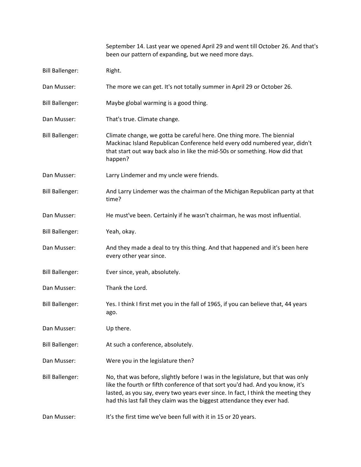|                        | September 14. Last year we opened April 29 and went till October 26. And that's<br>been our pattern of expanding, but we need more days.                                                                                                                                                                                           |
|------------------------|------------------------------------------------------------------------------------------------------------------------------------------------------------------------------------------------------------------------------------------------------------------------------------------------------------------------------------|
| <b>Bill Ballenger:</b> | Right.                                                                                                                                                                                                                                                                                                                             |
| Dan Musser:            | The more we can get. It's not totally summer in April 29 or October 26.                                                                                                                                                                                                                                                            |
| <b>Bill Ballenger:</b> | Maybe global warming is a good thing.                                                                                                                                                                                                                                                                                              |
| Dan Musser:            | That's true. Climate change.                                                                                                                                                                                                                                                                                                       |
| <b>Bill Ballenger:</b> | Climate change, we gotta be careful here. One thing more. The biennial<br>Mackinac Island Republican Conference held every odd numbered year, didn't<br>that start out way back also in like the mid-50s or something. How did that<br>happen?                                                                                     |
| Dan Musser:            | Larry Lindemer and my uncle were friends.                                                                                                                                                                                                                                                                                          |
| <b>Bill Ballenger:</b> | And Larry Lindemer was the chairman of the Michigan Republican party at that<br>time?                                                                                                                                                                                                                                              |
| Dan Musser:            | He must've been. Certainly if he wasn't chairman, he was most influential.                                                                                                                                                                                                                                                         |
| <b>Bill Ballenger:</b> | Yeah, okay.                                                                                                                                                                                                                                                                                                                        |
| Dan Musser:            | And they made a deal to try this thing. And that happened and it's been here<br>every other year since.                                                                                                                                                                                                                            |
| <b>Bill Ballenger:</b> | Ever since, yeah, absolutely.                                                                                                                                                                                                                                                                                                      |
| Dan Musser:            | Thank the Lord.                                                                                                                                                                                                                                                                                                                    |
| <b>Bill Ballenger:</b> | Yes. I think I first met you in the fall of 1965, if you can believe that, 44 years<br>ago.                                                                                                                                                                                                                                        |
| Dan Musser:            | Up there.                                                                                                                                                                                                                                                                                                                          |
| <b>Bill Ballenger:</b> | At such a conference, absolutely.                                                                                                                                                                                                                                                                                                  |
| Dan Musser:            | Were you in the legislature then?                                                                                                                                                                                                                                                                                                  |
| <b>Bill Ballenger:</b> | No, that was before, slightly before I was in the legislature, but that was only<br>like the fourth or fifth conference of that sort you'd had. And you know, it's<br>lasted, as you say, every two years ever since. In fact, I think the meeting they<br>had this last fall they claim was the biggest attendance they ever had. |
| Dan Musser:            | It's the first time we've been full with it in 15 or 20 years.                                                                                                                                                                                                                                                                     |